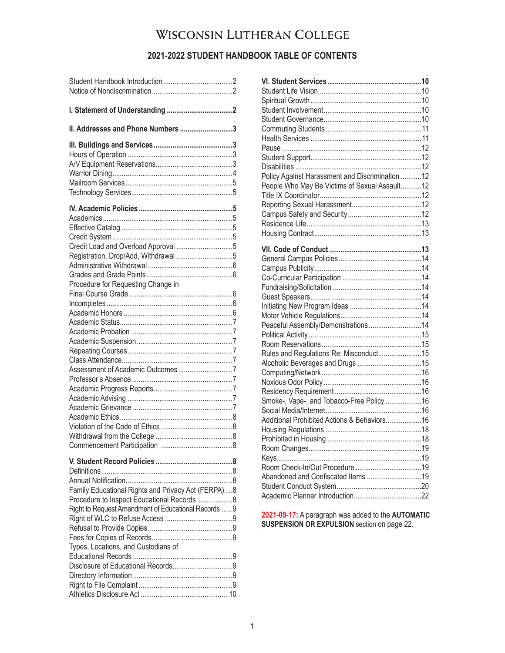# WISCONSIN LUTHERAN COLLEGE

# **2021-2022 STUDENT HANDBOOK TABLE OF CONTENTS**

| II. Addresses and Phone Numbers 3                                                                                                                                                                |
|--------------------------------------------------------------------------------------------------------------------------------------------------------------------------------------------------|
|                                                                                                                                                                                                  |
| Credit Load and Overload Approval 5<br>Registration, Drop/Add, Withdrawal 5                                                                                                                      |
| Procedure for Requesting Change in                                                                                                                                                               |
|                                                                                                                                                                                                  |
| Family Educational Rights and Privacy Act (FERPA) 8<br>Procedure to Inspect Educational Records  8<br>Right to Request Amendment of Educational Records 9<br>Types, Locations, and Custodians of |
|                                                                                                                                                                                                  |

| Policy Against Harassment and Discrimination 12 |  |
|-------------------------------------------------|--|
| People Who May Be Victims of Sexual Assault12   |  |
|                                                 |  |
|                                                 |  |
|                                                 |  |
|                                                 |  |
|                                                 |  |
|                                                 |  |
|                                                 |  |
|                                                 |  |
|                                                 |  |
|                                                 |  |
|                                                 |  |
|                                                 |  |
|                                                 |  |
| Peaceful Assembly/Demonstrations14              |  |
|                                                 |  |
|                                                 |  |
| Rules and Regulations Re: Misconduct15          |  |
|                                                 |  |
|                                                 |  |
|                                                 |  |
|                                                 |  |
| Smoke-, Vape-, and Tobacco-Free Policy 16       |  |
|                                                 |  |
| Additional Prohibited Actions & Behaviors16     |  |
|                                                 |  |
|                                                 |  |
|                                                 |  |
|                                                 |  |
|                                                 |  |
| Abandoned and Confiscated Items 19              |  |
|                                                 |  |
|                                                 |  |
|                                                 |  |

**2021-09-17:** A paragraph was added to the **AUTOMATIC SUSPENSION OR EXPULSION** section on page 22.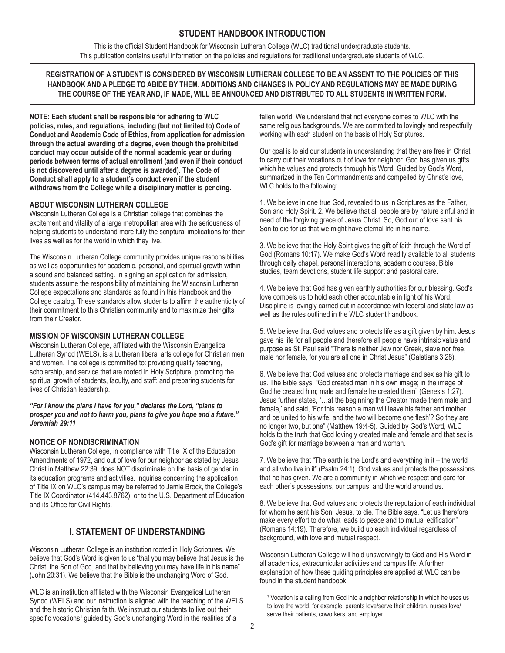# **STUDENT HANDBOOK INTRODUCTION**

This is the official Student Handbook for Wisconsin Lutheran College (WLC) traditional undergraduate students. This publication contains useful information on the policies and regulations for traditional undergraduate students of WLC.

# **REGISTRATION OF A STUDENT IS CONSIDERED BY WISCONSIN LUTHERAN COLLEGE TO BE AN ASSENT TO THE POLICIES OF THIS HANDBOOK AND A PLEDGE TO ABIDE BY THEM. ADDITIONS AND CHANGES IN POLICY AND REGULATIONS MAY BE MADE DURING THE COURSE OF THE YEAR AND, IF MADE, WILL BE ANNOUNCED AND DISTRIBUTED TO ALL STUDENTS IN WRITTEN FORM.**

**NOTE: Each student shall be responsible for adhering to WLC policies, rules, and regulations, including (but not limited to) Code of Conduct and Academic Code of Ethics, from application for admission through the actual awarding of a degree, even though the prohibited conduct may occur outside of the normal academic year or during periods between terms of actual enrollment (and even if their conduct is not discovered until after a degree is awarded). The Code of Conduct shall apply to a student's conduct even if the student withdraws from the College while a disciplinary matter is pending.**

# **ABOUT WISCONSIN LUTHERAN COLLEGE**

Wisconsin Lutheran College is a Christian college that combines the excitement and vitality of a large metropolitan area with the seriousness of helping students to understand more fully the scriptural implications for their lives as well as for the world in which they live.

The Wisconsin Lutheran College community provides unique responsibilities as well as opportunities for academic, personal, and spiritual growth within a sound and balanced setting. In signing an application for admission, students assume the responsibility of maintaining the Wisconsin Lutheran College expectations and standards as found in this Handbook and the College catalog. These standards allow students to affirm the authenticity of their commitment to this Christian community and to maximize their gifts from their Creator.

# **MISSION OF WISCONSIN LUTHERAN COLLEGE**

Wisconsin Lutheran College, affiliated with the Wisconsin Evangelical Lutheran Synod (WELS), is a Lutheran liberal arts college for Christian men and women. The college is committed to: providing quality teaching, scholarship, and service that are rooted in Holy Scripture; promoting the spiritual growth of students, faculty, and staff; and preparing students for lives of Christian leadership.

*"For I know the plans I have for you," declares the Lord, "plans to prosper you and not to harm you, plans to give you hope and a future." Jeremiah 29:11*

# **NOTICE OF NONDISCRIMINATION**

Wisconsin Lutheran College, in compliance with Title IX of the Education Amendments of 1972, and out of love for our neighbor as stated by Jesus Christ in Matthew 22:39, does NOT discriminate on the basis of gender in its education programs and activities. Inquiries concerning the application of Title IX on WLC's campus may be referred to Jamie Brock, the College's Title IX Coordinator (414.443.8762), or to the U.S. Department of Education and its Office for Civil Rights.

# **I. STATEMENT OF UNDERSTANDING**

Wisconsin Lutheran College is an institution rooted in Holy Scriptures. We believe that God's Word is given to us "that you may believe that Jesus is the Christ, the Son of God, and that by believing you may have life in his name" (John 20:31). We believe that the Bible is the unchanging Word of God.

WLC is an institution affiliated with the Wisconsin Evangelical Lutheran Synod (WELS) and our instruction is aligned with the teaching of the WELS and the historic Christian faith. We instruct our students to live out their specific vocations<sup>1</sup> guided by God's unchanging Word in the realities of a

fallen world. We understand that not everyone comes to WLC with the same religious backgrounds. We are committed to lovingly and respectfully working with each student on the basis of Holy Scriptures.

Our goal is to aid our students in understanding that they are free in Christ to carry out their vocations out of love for neighbor. God has given us gifts which he values and protects through his Word. Guided by God's Word, summarized in the Ten Commandments and compelled by Christ's love, WLC holds to the following:

1. We believe in one true God, revealed to us in Scriptures as the Father, Son and Holy Spirit. 2. We believe that all people are by nature sinful and in need of the forgiving grace of Jesus Christ. So, God out of love sent his Son to die for us that we might have eternal life in his name.

3. We believe that the Holy Spirit gives the gift of faith through the Word of God (Romans 10:17). We make God's Word readily available to all students through daily chapel, personal interactions, academic courses, Bible studies, team devotions, student life support and pastoral care.

4. We believe that God has given earthly authorities for our blessing. God's love compels us to hold each other accountable in light of his Word. Discipline is lovingly carried out in accordance with federal and state law as well as the rules outlined in the WLC student handbook.

5. We believe that God values and protects life as a gift given by him. Jesus gave his life for all people and therefore all people have intrinsic value and purpose as St. Paul said "There is neither Jew nor Greek, slave nor free, male nor female, for you are all one in Christ Jesus" (Galatians 3:28).

6. We believe that God values and protects marriage and sex as his gift to us. The Bible says, "God created man in his own image; in the image of God he created him; male and female he created them" (Genesis 1:27). Jesus further states, "...at the beginning the Creator 'made them male and female,' and said, 'For this reason a man will leave his father and mother and be united to his wife, and the two will become one flesh'? So they are no longer two, but one" (Matthew 19:4-5). Guided by God's Word, WLC holds to the truth that God lovingly created male and female and that sex is God's gift for marriage between a man and woman.

7. We believe that "The earth is the Lord's and everything in it – the world and all who live in it" (Psalm 24:1). God values and protects the possessions that he has given. We are a community in which we respect and care for each other's possessions, our campus, and the world around us.

8. We believe that God values and protects the reputation of each individual for whom he sent his Son, Jesus, to die. The Bible says, "Let us therefore make every effort to do what leads to peace and to mutual edification" (Romans 14:19). Therefore, we build up each individual regardless of background, with love and mutual respect.

Wisconsin Lutheran College will hold unswervingly to God and His Word in all academics, extracurricular activities and campus life. A further explanation of how these guiding principles are applied at WLC can be found in the student handbook.

<sup>&</sup>lt;sup>1</sup> Vocation is a calling from God into a neighbor relationship in which he uses us to love the world, for example, parents love/serve their children, nurses love/ serve their patients, coworkers, and employer.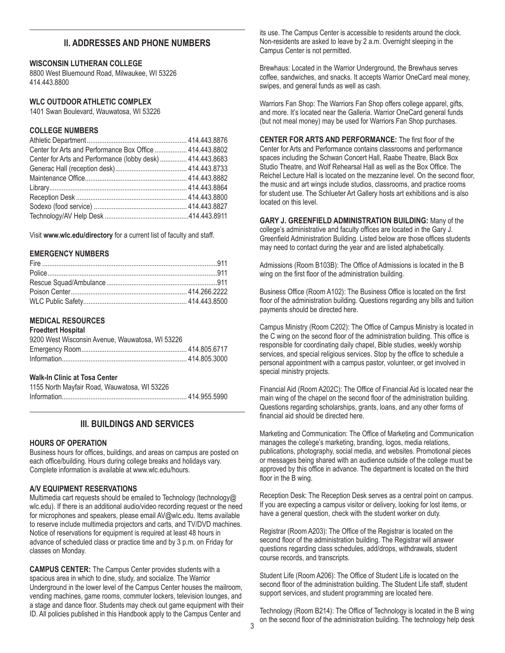# **II. ADDRESSES AND PHONE NUMBERS**

#### **WISCONSIN LUTHERAN COLLEGE**

8800 West Bluemound Road, Milwaukee, WI 53226 414.443.8800

# **WLC OUTDOOR ATHLETIC COMPLEX**

1401 Swan Boulevard, Wauwatosa, WI 53226

## **COLLEGE NUMBERS**

| Center for Arts and Performance Box Office  414.443.8802   |  |
|------------------------------------------------------------|--|
| Center for Arts and Performance (lobby desk)  414.443.8683 |  |
|                                                            |  |
|                                                            |  |
|                                                            |  |
|                                                            |  |
|                                                            |  |
|                                                            |  |
|                                                            |  |

Visit **www.wlc.edu/directory** for a current list of faculty and staff.

#### **EMERGENCY NUMBERS**

# **MEDICAL RESOURCES**

**Froedtert Hospital**

| 9200 West Wisconsin Avenue. Wauwatosa. WI 53226 |  |
|-------------------------------------------------|--|
|                                                 |  |
|                                                 |  |

#### **Walk-In Clinic at Tosa Center**

| 1155 North Mayfair Road, Wauwatosa, WI 53226 |
|----------------------------------------------|
|                                              |

# **III. BUILDINGS AND SERVICES**

#### **HOURS OF OPERATION**

Business hours for offices, buildings, and areas on campus are posted on each office/building. Hours during college breaks and holidays vary. Complete information is available at www.wlc.edu/hours.

#### **A/V EQUIPMENT RESERVATIONS**

Multimedia cart requests should be emailed to Technology (technology@) wlc.edu). If there is an additional audio/video recording request or the need for microphones and speakers, please email AV@wlc.edu. Items available to reserve include multimedia projectors and carts, and TV/DVD machines. Notice of reservations for equipment is required at least 48 hours in advance of scheduled class or practice time and by 3 p.m. on Friday for classes on Monday.

**CAMPUS CENTER:** The Campus Center provides students with a spacious area in which to dine, study, and socialize. The Warrior Underground in the lower level of the Campus Center houses the mailroom, vending machines, game rooms, commuter lockers, television lounges, and a stage and dance floor. Students may check out game equipment with their ID. All policies published in this Handbook apply to the Campus Center and

its use. The Campus Center is accessible to residents around the clock. Non-residents are asked to leave by 2 a.m. Overnight sleeping in the Campus Center is not permitted.

Brewhaus: Located in the Warrior Underground, the Brewhaus serves coffee, sandwiches, and snacks. It accepts Warrior OneCard meal money, swipes, and general funds as well as cash.

Warriors Fan Shop: The Warriors Fan Shop offers college apparel, gifts, and more. It's located near the Galleria. Warrior OneCard general funds (but not meal money) may be used for Warriors Fan Shop purchases.

**CENTER FOR ARTS AND PERFORMANCE:** The first floor of the Center for Arts and Performance contains classrooms and performance spaces including the Schwan Concert Hall, Raabe Theatre, Black Box Studio Theatre, and Wolf Rehearsal Hall as well as the Box Office. The Reichel Lecture Hall is located on the mezzanine level. On the second floor, the music and art wings include studios, classrooms, and practice rooms for student use. The Schlueter Art Gallery hosts art exhibitions and is also located on this level.

**GARY J. GREENFIELD ADMINISTRATION BUILDING:** Many of the college's administrative and faculty offices are located in the Gary J. Greenfield Administration Building. Listed below are those offices students may need to contact during the year and are listed alphabetically.

Admissions (Room B103B): The Office of Admissions is located in the B wing on the first floor of the administration building.

Business Office (Room A102): The Business Office is located on the first floor of the administration building. Questions regarding any bills and tuition payments should be directed here.

Campus Ministry (Room C202): The Office of Campus Ministry is located in the C wing on the second floor of the administration building. This office is responsible for coordinating daily chapel, Bible studies, weekly worship services, and special religious services. Stop by the office to schedule a personal appointment with a campus pastor, volunteer, or get involved in special ministry projects.

Financial Aid (Room A202C): The Office of Financial Aid is located near the main wing of the chapel on the second floor of the administration building. Questions regarding scholarships, grants, loans, and any other forms of financial aid should be directed here.

Marketing and Communication: The Office of Marketing and Communication manages the college's marketing, branding, logos, media relations, publications, photography, social media, and websites. Promotional pieces or messages being shared with an audience outside of the college must be approved by this office in advance. The department is located on the third floor in the B wing.

Reception Desk: The Reception Desk serves as a central point on campus. If you are expecting a campus visitor or delivery, looking for lost items, or have a general question, check with the student worker on duty.

Registrar (Room A203): The Office of the Registrar is located on the second floor of the administration building. The Registrar will answer questions regarding class schedules, add/drops, withdrawals, student course records, and transcripts.

Student Life (Room A206): The Office of Student Life is located on the second floor of the administration building. The Student Life staff, student support services, and student programming are located here.

Technology (Room B214): The Office of Technology is located in the B wing on the second floor of the administration building. The technology help desk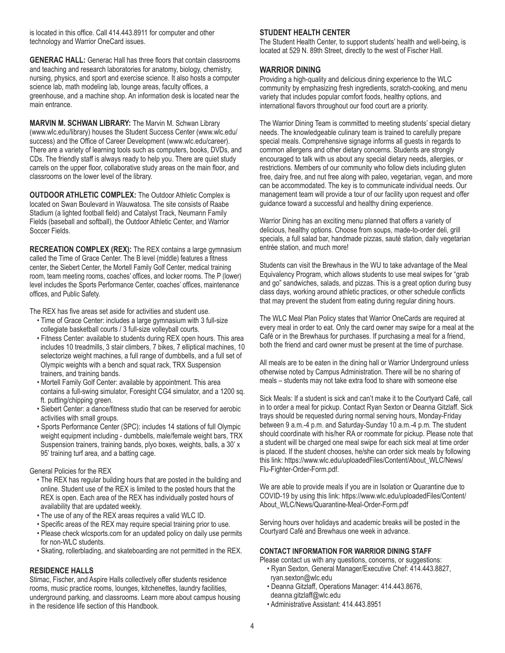is located in this office. Call 414.443.8911 for computer and other technology and Warrior OneCard issues.

**GENERAC HALL:** Generac Hall has three floors that contain classrooms and teaching and research laboratories for anatomy, biology, chemistry, nursing, physics, and sport and exercise science. It also hosts a computer science lab, math modeling lab, lounge areas, faculty offices, a greenhouse, and a machine shop. An information desk is located near the main entrance.

**MARVIN M. SCHWAN LIBRARY:** The Marvin M. Schwan Library (www.wlc.edu/library) houses the Student Success Center (www.wlc.edu/ success) and the Office of Career Development (www.wlc.edu/career). There are a variety of learning tools such as computers, books, DVDs, and CDs. The friendly staff is always ready to help you. There are quiet study carrels on the upper floor, collaborative study areas on the main floor, and classrooms on the lower level of the library.

**OUTDOOR ATHLETIC COMPLEX:** The Outdoor Athletic Complex is located on Swan Boulevard in Wauwatosa. The site consists of Raabe Stadium (a lighted football field) and Catalyst Track, Neumann Family Fields (baseball and softball), the Outdoor Athletic Center, and Warrior Soccer Fields.

**RECREATION COMPLEX (REX):** The REX contains a large gymnasium called the Time of Grace Center. The B level (middle) features a fitness center, the Siebert Center, the Mortell Family Golf Center, medical training room, team meeting rooms, coaches' offices, and locker rooms. The P (lower) level includes the Sports Performance Center, coaches' offices, maintenance offices, and Public Safety.

The REX has five areas set aside for activities and student use.

- Time of Grace Center: includes a large gymnasium with 3 full-size collegiate basketball courts / 3 full-size volleyball courts.
- Fitness Center: available to students during REX open hours. This area includes 10 treadmills, 3 stair climbers, 7 bikes, 7 elliptical machines, 10 selectorize weight machines, a full range of dumbbells, and a full set of Olympic weights with a bench and squat rack, TRX Suspension trainers, and training bands.
- Mortell Family Golf Center: available by appointment. This area contains a full-swing simulator, Foresight CG4 simulator, and a 1200 sq. ft. putting/chipping green.
- Siebert Center: a dance/fitness studio that can be reserved for aerobic activities with small groups.
- Sports Performance Center (SPC): includes 14 stations of full Olympic weight equipment including - dumbbells, male/female weight bars, TRX Suspension trainers, training bands, plyo boxes, weights, balls, a 30' x 95' training turf area, and a batting cage.

#### General Policies for the REX

- The REX has regular building hours that are posted in the building and online. Student use of the REX is limited to the posted hours that the REX is open. Each area of the REX has individually posted hours of availability that are updated weekly.
- The use of any of the REX areas requires a valid WLC ID.
- Specific areas of the REX may require special training prior to use.
- Please check wlcsports.com for an updated policy on daily use permits for non-WLC students.
- Skating, rollerblading, and skateboarding are not permitted in the REX.

#### **RESIDENCE HALLS**

Stimac, Fischer, and Aspire Halls collectively offer students residence rooms, music practice rooms, lounges, kitchenettes, laundry facilities, underground parking, and classrooms. Learn more about campus housing in the residence life section of this Handbook.

#### **STUDENT HEALTH CENTER**

The Student Health Center, to support students' health and well-being, is located at 529 N. 89th Street, directly to the west of Fischer Hall.

# **WARRIOR DINING**

Providing a high-quality and delicious dining experience to the WLC community by emphasizing fresh ingredients, scratch-cooking, and menu variety that includes popular comfort foods, healthy options, and international flavors throughout our food court are a priority.

The Warrior Dining Team is committed to meeting students' special dietary needs. The knowledgeable culinary team is trained to carefully prepare special meals. Comprehensive signage informs all guests in regards to common allergens and other dietary concerns. Students are strongly encouraged to talk with us about any special dietary needs, allergies, or restrictions. Members of our community who follow diets including gluten free, dairy free, and nut free along with paleo, vegetarian, vegan, and more can be accommodated. The key is to communicate individual needs. Our management team will provide a tour of our facility upon request and offer guidance toward a successful and healthy dining experience.

Warrior Dining has an exciting menu planned that offers a variety of delicious, healthy options. Choose from soups, made-to-order deli, grill specials, a full salad bar, handmade pizzas, sauté station, daily vegetarian entrée station, and much more!

Students can visit the Brewhaus in the WU to take advantage of the Meal Equivalency Program, which allows students to use meal swipes for "grab and go" sandwiches, salads, and pizzas. This is a great option during busy class days, working around athletic practices, or other schedule conflicts that may prevent the student from eating during regular dining hours.

The WLC Meal Plan Policy states that Warrior OneCards are required at every meal in order to eat. Only the card owner may swipe for a meal at the Café or in the Brewhaus for purchases. If purchasing a meal for a friend, both the friend and card owner must be present at the time of purchase.

All meals are to be eaten in the dining hall or Warrior Underground unless otherwise noted by Campus Administration. There will be no sharing of meals – students may not take extra food to share with someone else

Sick Meals: If a student is sick and can't make it to the Courtyard Café, call in to order a meal for pickup. Contact Ryan Sexton or Deanna Gitzlaff. Sick trays should be requested during normal serving hours, Monday-Friday between 9 a.m.-4 p.m. and Saturday-Sunday 10 a.m.-4 p.m. The student should coordinate with his/her RA or roommate for pickup. Please note that a student will be charged one meal swipe for each sick meal at time order is placed. If the student chooses, he/she can order sick meals by following this link: https://www.wlc.edu/uploadedFiles/Content/About\_WLC/News/ Flu-Fighter-Order-Form.pdf.

We are able to provide meals if you are in Isolation or Quarantine due to COVID-19 by using this link: https://www.wlc.edu/uploadedFiles/Content/ About\_WLC/News/Quarantine-Meal-Order-Form.pdf

Serving hours over holidays and academic breaks will be posted in the Courtyard Café and Brewhaus one week in advance.

#### **CONTACT INFORMATION FOR WARRIOR DINING STAFF**

Please contact us with any questions, concerns, or suggestions:

- Ryan Sexton, General Manager/Executive Chef: 414.443.8827, ryan.sexton@wlc.edu
- Deanna Gitzlaff, Operations Manager: 414.443.8676, deanna.gitzlaff@wlc.edu
- Administrative Assistant: 414.443.8951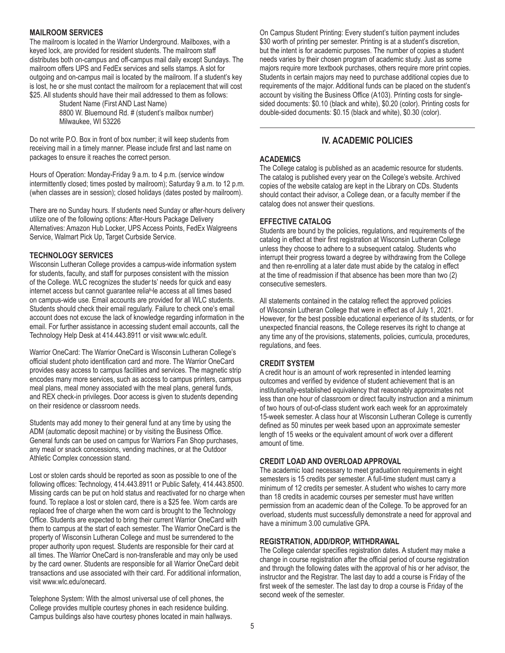#### **MAILROOM SERVICES**

The mailroom is located in the Warrior Underground. Mailboxes, with a keyed lock, are provided for resident students. The mailroom staff distributes both on-campus and off-campus mail daily except Sundays. The mailroom offers UPS and FedEx services and sells stamps. A slot for outgoing and on-campus mail is located by the mailroom. If a student's key is lost, he or she must contact the mailroom for a replacement that will cost \$25. All students should have their mail addressed to them as follows:

Student Name (First AND Last Name) 8800 W. Bluemound Rd. # (student's mailbox number) Milwaukee, WI 53226

Do not write P.O. Box in front of box number; it will keep students from receiving mail in a timely manner. Please include first and last name on packages to ensure it reaches the correct person.

Hours of Operation: Monday-Friday 9 a.m. to 4 p.m. (service window intermittently closed; times posted by mailroom); Saturday 9 a.m. to 12 p.m. (when classes are in session); closed holidays (dates posted by mailroom).

There are no Sunday hours. If students need Sunday or after-hours delivery utilize one of the following options: After-Hours Package Delivery Alternatives: Amazon Hub Locker, UPS Access Points, FedEx Walgreens Service, Walmart Pick Up, Target Curbside Service.

#### **TECHNOLOGY SERVICES**

Wisconsin Lutheran College provides a campus-wide information system for students, faculty, and staff for purposes consistent with the mission of the College. WLC recognizes the students' needs for quick and easy internet access but cannot guarantee reliable access at all times based on campus-wide use. Email accounts are provided for all WLC students. Students should check their email regularly. Failure to check one's email account does not excuse the lack of knowledge regarding information in the email. For further assistance in accessing student email accounts, call the Technology Help Desk at 414.443.8911 or visit www.wlc.edu/it.

Warrior OneCard: The Warrior OneCard is Wisconsin Lutheran College's official student photo identification card and more. The Warrior OneCard provides easy access to campus facilities and services. The magnetic strip encodes many more services, such as access to campus printers, campus meal plans, meal money associated with the meal plans, general funds, and REX check-in privileges. Door access is given to students depending on their residence or classroom needs.

Students may add money to their general fund at any time by using the ADM (automatic deposit machine) or by visiting the Business Office. General funds can be used on campus for Warriors Fan Shop purchases, any meal or snack concessions, vending machines, or at the Outdoor Athletic Complex concession stand.

Lost or stolen cards should be reported as soon as possible to one of the following offices: Technology, 414.443.8911 or Public Safety, 414.443.8500. Missing cards can be put on hold status and reactivated for no charge when found. To replace a lost or stolen card, there is a \$25 fee. Worn cards are replaced free of charge when the worn card is brought to the Technology Office. Students are expected to bring their current Warrior OneCard with them to campus at the start of each semester. The Warrior OneCard is the property of Wisconsin Lutheran College and must be surrendered to the proper authority upon request. Students are responsible for their card at all times. The Warrior OneCard is non-transferable and may only be used by the card owner. Students are responsible for all Warrior OneCard debit transactions and use associated with their card. For additional information, visit www.wlc.edu/onecard.

Telephone System: With the almost universal use of cell phones, the College provides multiple courtesy phones in each residence building. Campus buildings also have courtesy phones located in main hallways. On Campus Student Printing: Every student's tuition payment includes \$30 worth of printing per semester. Printing is at a student's discretion, but the intent is for academic purposes. The number of copies a student needs varies by their chosen program of academic study. Just as some majors require more textbook purchases, others require more print copies. Students in certain majors may need to purchase additional copies due to requirements of the major. Additional funds can be placed on the student's account by visiting the Business Office (A103). Printing costs for singlesided documents: \$0.10 (black and white), \$0.20 (color). Printing costs for double-sided documents: \$0.15 (black and white), \$0.30 (color).

# **IV. ACADEMIC POLICIES**

#### **ACADEMICS**

The College catalog is published as an academic resource for students. The catalog is published every year on the College's website. Archived copies of the website catalog are kept in the Library on CDs. Students should contact their advisor, a College dean, or a faculty member if the catalog does not answer their questions.

#### **EFFECTIVE CATALOG**

Students are bound by the policies, regulations, and requirements of the catalog in effect at their first registration at Wisconsin Lutheran College unless they choose to adhere to a subsequent catalog. Students who interrupt their progress toward a degree by withdrawing from the College and then re-enrolling at a later date must abide by the catalog in effect at the time of readmission if that absence has been more than two (2) consecutive semesters.

All statements contained in the catalog reflect the approved policies of Wisconsin Lutheran College that were in effect as of July 1, 2021. However, for the best possible educational experience of its students, or for unexpected financial reasons, the College reserves its right to change at any time any of the provisions, statements, policies, curricula, procedures, regulations, and fees.

# **CREDIT SYSTEM**

A credit hour is an amount of work represented in intended learning outcomes and verified by evidence of student achievement that is an institutionally-established equivalency that reasonably approximates not less than one hour of classroom or direct faculty instruction and a minimum of two hours of out-of-class student work each week for an approximately 15-week semester. A class hour at Wisconsin Lutheran College is currently defined as 50 minutes per week based upon an approximate semester length of 15 weeks or the equivalent amount of work over a different amount of time.

# **CREDIT LOAD AND OVERLOAD APPROVAL**

The academic load necessary to meet graduation requirements in eight semesters is 15 credits per semester. A full-time student must carry a minimum of 12 credits per semester. A student who wishes to carry more than 18 credits in academic courses per semester must have written permission from an academic dean of the College. To be approved for an overload, students must successfully demonstrate a need for approval and have a minimum 3.00 cumulative GPA.

#### **REGISTRATION, ADD/DROP, WITHDRAWAL**

The College calendar specifies registration dates. A student may make a change in course registration after the official period of course registration and through the following dates with the approval of his or her advisor, the instructor and the Registrar. The last day to add a course is Friday of the first week of the semester. The last day to drop a course is Friday of the second week of the semester.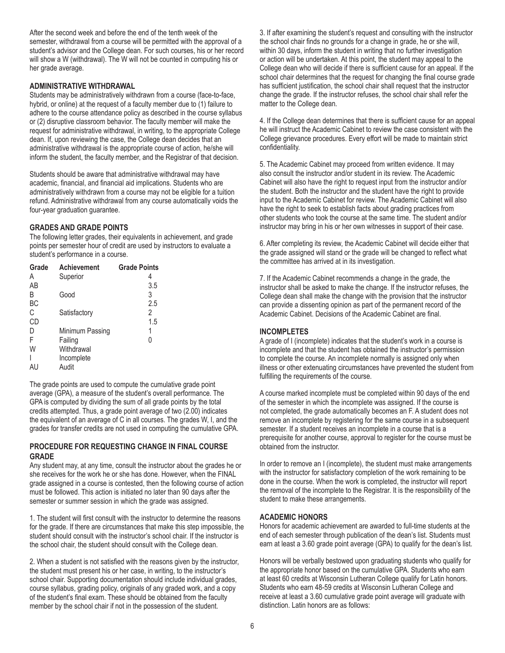After the second week and before the end of the tenth week of the semester, withdrawal from a course will be permitted with the approval of a student's advisor and the College dean. For such courses, his or her record will show a W (withdrawal). The W will not be counted in computing his or her grade average.

# **ADMINISTRATIVE WITHDRAWAL**

Students may be administratively withdrawn from a course (face-to-face, hybrid, or online) at the request of a faculty member due to (1) failure to adhere to the course attendance policy as described in the course syllabus or (2) disruptive classroom behavior. The faculty member will make the request for administrative withdrawal, in writing, to the appropriate College dean. If, upon reviewing the case, the College dean decides that an administrative withdrawal is the appropriate course of action, he/she will inform the student, the faculty member, and the Registrar of that decision.

Students should be aware that administrative withdrawal may have academic, financial, and financial aid implications. Students who are administratively withdrawn from a course may not be eligible for a tuition refund. Administrative withdrawal from any course automatically voids the four-year graduation guarantee.

# **GRADES AND GRADE POINTS**

The following letter grades, their equivalents in achievement, and grade points per semester hour of credit are used by instructors to evaluate a student's performance in a course.

| Grade | Achievement     | <b>Grade Points</b> |
|-------|-----------------|---------------------|
| A     | Superior        | 4                   |
| AB    |                 | 3.5                 |
| B     | Good            | 3                   |
| BC    |                 | 2.5                 |
| C     | Satisfactory    | 2                   |
| CD    |                 | 1.5                 |
| D     | Minimum Passing | 1                   |
| F     | Failing         | 0                   |
| W     | Withdrawal      |                     |
|       | Incomplete      |                     |
| AU    | Audit           |                     |
|       |                 |                     |

The grade points are used to compute the cumulative grade point average (GPA), a measure of the student's overall performance. The GPA is computed by dividing the sum of all grade points by the total credits attempted. Thus, a grade point average of two (2.00) indicates the equivalent of an average of C in all courses. The grades W, I, and the grades for transfer credits are not used in computing the cumulative GPA.

# **PROCEDURE FOR REQUESTING CHANGE IN FINAL COURSE GRADE**

Any student may, at any time, consult the instructor about the grades he or she receives for the work he or she has done. However, when the FINAL grade assigned in a course is contested, then the following course of action must be followed. This action is initiated no later than 90 days after the semester or summer session in which the grade was assigned.

1. The student will first consult with the instructor to determine the reasons for the grade. If there are circumstances that make this step impossible, the student should consult with the instructor's school chair. If the instructor is the school chair, the student should consult with the College dean.

2. When a student is not satisfied with the reasons given by the instructor, the student must present his or her case, in writing, to the instructor's school chair. Supporting documentation should include individual grades, course syllabus, grading policy, originals of any graded work, and a copy of the student's final exam. These should be obtained from the faculty member by the school chair if not in the possession of the student.

3. If after examining the student's request and consulting with the instructor the school chair finds no grounds for a change in grade, he or she will, within 30 days, inform the student in writing that no further investigation or action will be undertaken. At this point, the student may appeal to the College dean who will decide if there is sufficient cause for an appeal. If the school chair determines that the request for changing the final course grade has sufficient justification, the school chair shall request that the instructor change the grade. If the instructor refuses, the school chair shall refer the matter to the College dean.

4. If the College dean determines that there is sufficient cause for an appeal he will instruct the Academic Cabinet to review the case consistent with the College grievance procedures. Every effort will be made to maintain strict confidentiality.

5. The Academic Cabinet may proceed from written evidence. It may also consult the instructor and/or student in its review. The Academic Cabinet will also have the right to request input from the instructor and/or the student. Both the instructor and the student have the right to provide input to the Academic Cabinet for review. The Academic Cabinet will also have the right to seek to establish facts about grading practices from other students who took the course at the same time. The student and/or instructor may bring in his or her own witnesses in support of their case.

6. After completing its review, the Academic Cabinet will decide either that the grade assigned will stand or the grade will be changed to reflect what the committee has arrived at in its investigation.

7. If the Academic Cabinet recommends a change in the grade, the instructor shall be asked to make the change. If the instructor refuses, the College dean shall make the change with the provision that the instructor can provide a dissenting opinion as part of the permanent record of the Academic Cabinet. Decisions of the Academic Cabinet are final.

# **INCOMPLETES**

A grade of I (incomplete) indicates that the student's work in a course is incomplete and that the student has obtained the instructor's permission to complete the course. An incomplete normally is assigned only when illness or other extenuating circumstances have prevented the student from fulfilling the requirements of the course.

A course marked incomplete must be completed within 90 days of the end of the semester in which the incomplete was assigned. If the course is not completed, the grade automatically becomes an F. A student does not remove an incomplete by registering for the same course in a subsequent semester. If a student receives an incomplete in a course that is a prerequisite for another course, approval to register for the course must be obtained from the instructor.

In order to remove an I (incomplete), the student must make arrangements with the instructor for satisfactory completion of the work remaining to be done in the course. When the work is completed, the instructor will report the removal of the incomplete to the Registrar. It is the responsibility of the student to make these arrangements.

# **ACADEMIC HONORS**

Honors for academic achievement are awarded to full-time students at the end of each semester through publication of the dean's list. Students must earn at least a 3.60 grade point average (GPA) to qualify for the dean's list.

Honors will be verbally bestowed upon graduating students who qualify for the appropriate honor based on the cumulative GPA. Students who earn at least 60 credits at Wisconsin Lutheran College qualify for Latin honors. Students who earn 48-59 credits at Wisconsin Lutheran College and receive at least a 3.60 cumulative grade point average will graduate with distinction. Latin honors are as follows: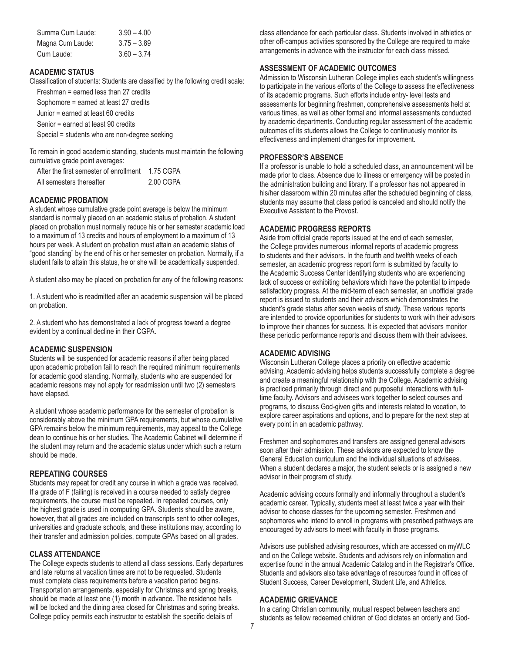| Summa Cum Laude: | $3.90 - 4.00$ |
|------------------|---------------|
| Magna Cum Laude: | $3.75 - 3.89$ |
| Cum Laude:       | $3.60 - 3.74$ |

#### **ACADEMIC STATUS**

Classification of students: Students are classified by the following credit scale: Freshman = earned less than 27 credits

Sophomore = earned at least 27 credits

Junior = earned at least 60 credits

Senior = earned at least 90 credits

Special = students who are non-degree seeking

To remain in good academic standing, students must maintain the following cumulative grade point averages:

| After the first semester of enrollment | 1.75 CGPA |
|----------------------------------------|-----------|
| All semesters thereafter               | 2.00 CGPA |

# **ACADEMIC PROBATION**

A student whose cumulative grade point average is below the minimum standard is normally placed on an academic status of probation. A student placed on probation must normally reduce his or her semester academic load to a maximum of 13 credits and hours of employment to a maximum of 13 hours per week. A student on probation must attain an academic status of "good standing" by the end of his or her semester on probation. Normally, if a student fails to attain this status, he or she will be academically suspended.

A student also may be placed on probation for any of the following reasons:

1. A student who is readmitted after an academic suspension will be placed on probation.

2. A student who has demonstrated a lack of progress toward a degree evident by a continual decline in their CGPA.

#### **ACADEMIC SUSPENSION**

Students will be suspended for academic reasons if after being placed upon academic probation fail to reach the required minimum requirements for academic good standing. Normally, students who are suspended for academic reasons may not apply for readmission until two (2) semesters have elapsed.

A student whose academic performance for the semester of probation is considerably above the minimum GPA requirements, but whose cumulative GPA remains below the minimum requirements, may appeal to the College dean to continue his or her studies. The Academic Cabinet will determine if the student may return and the academic status under which such a return should be made.

#### **REPEATING COURSES**

Students may repeat for credit any course in which a grade was received. If a grade of F (failing) is received in a course needed to satisfy degree requirements, the course must be repeated. In repeated courses, only the highest grade is used in computing GPA. Students should be aware, however, that all grades are included on transcripts sent to other colleges, universities and graduate schools, and these institutions may, according to their transfer and admission policies, compute GPAs based on all grades.

## **CLASS ATTENDANCE**

The College expects students to attend all class sessions. Early departures and late returns at vacation times are not to be requested. Students must complete class requirements before a vacation period begins. Transportation arrangements, especially for Christmas and spring breaks, should be made at least one (1) month in advance. The residence halls will be locked and the dining area closed for Christmas and spring breaks. College policy permits each instructor to establish the specific details of

class attendance for each particular class. Students involved in athletics or other off-campus activities sponsored by the College are required to make arrangements in advance with the instructor for each class missed.

#### **ASSESSMENT OF ACADEMIC OUTCOMES**

Admission to Wisconsin Lutheran College implies each student's willingness to participate in the various efforts of the College to assess the effectiveness of its academic programs. Such efforts include entry- level tests and assessments for beginning freshmen, comprehensive assessments held at various times, as well as other formal and informal assessments conducted by academic departments. Conducting regular assessment of the academic outcomes of its students allows the College to continuously monitor its effectiveness and implement changes for improvement.

#### **PROFESSOR'S ABSENCE**

If a professor is unable to hold a scheduled class, an announcement will be made prior to class. Absence due to illness or emergency will be posted in the administration building and library. If a professor has not appeared in his/her classroom within 20 minutes after the scheduled beginning of class, students may assume that class period is canceled and should notify the Executive Assistant to the Provost.

#### **ACADEMIC PROGRESS REPORTS**

Aside from official grade reports issued at the end of each semester, the College provides numerous informal reports of academic progress to students and their advisors. In the fourth and twelfth weeks of each semester, an academic progress report form is submitted by faculty to the Academic Success Center identifying students who are experiencing lack of success or exhibiting behaviors which have the potential to impede satisfactory progress. At the mid-term of each semester, an unofficial grade report is issued to students and their advisors which demonstrates the student's grade status after seven weeks of study. These various reports are intended to provide opportunities for students to work with their advisors to improve their chances for success. It is expected that advisors monitor these periodic performance reports and discuss them with their advisees.

# **ACADEMIC ADVISING**

Wisconsin Lutheran College places a priority on effective academic advising. Academic advising helps students successfully complete a degree and create a meaningful relationship with the College. Academic advising is practiced primarily through direct and purposeful interactions with fulltime faculty. Advisors and advisees work together to select courses and programs, to discuss God-given gifts and interests related to vocation, to explore career aspirations and options, and to prepare for the next step at every point in an academic pathway.

Freshmen and sophomores and transfers are assigned general advisors soon after their admission. These advisors are expected to know the General Education curriculum and the individual situations of advisees. When a student declares a major, the student selects or is assigned a new advisor in their program of study.

Academic advising occurs formally and informally throughout a student's academic career. Typically, students meet at least twice a year with their advisor to choose classes for the upcoming semester. Freshmen and sophomores who intend to enroll in programs with prescribed pathways are encouraged by advisors to meet with faculty in those programs.

Advisors use published advising resources, which are accessed on myWLC and on the College website. Students and advisors rely on information and expertise found in the annual Academic Catalog and in the Registrar's Office. Students and advisors also take advantage of resources found in offices of Student Success, Career Development, Student Life, and Athletics.

#### **ACADEMIC GRIEVANCE**

In a caring Christian community, mutual respect between teachers and students as fellow redeemed children of God dictates an orderly and God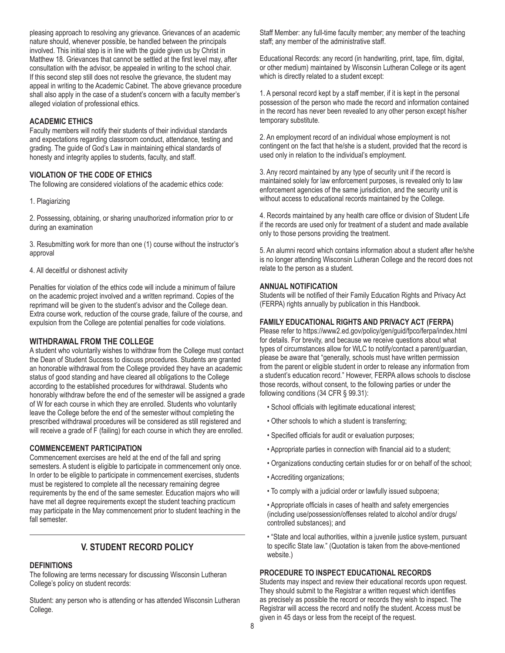pleasing approach to resolving any grievance. Grievances of an academic nature should, whenever possible, be handled between the principals involved. This initial step is in line with the guide given us by Christ in Matthew 18. Grievances that cannot be settled at the first level may, after consultation with the advisor, be appealed in writing to the school chair. If this second step still does not resolve the grievance, the student may appeal in writing to the Academic Cabinet. The above grievance procedure shall also apply in the case of a student's concern with a faculty member's alleged violation of professional ethics.

#### **ACADEMIC ETHICS**

Faculty members will notify their students of their individual standards and expectations regarding classroom conduct, attendance, testing and grading. The guide of God's Law in maintaining ethical standards of honesty and integrity applies to students, faculty, and staff.

#### **VIOLATION OF THE CODE OF ETHICS**

The following are considered violations of the academic ethics code:

#### 1. Plagiarizing

2. Possessing, obtaining, or sharing unauthorized information prior to or during an examination

3. Resubmitting work for more than one (1) course without the instructor's approval

#### 4. All deceitful or dishonest activity

Penalties for violation of the ethics code will include a minimum of failure on the academic project involved and a written reprimand. Copies of the reprimand will be given to the student's advisor and the College dean. Extra course work, reduction of the course grade, failure of the course, and expulsion from the College are potential penalties for code violations.

#### **WITHDRAWAL FROM THE COLLEGE**

A student who voluntarily wishes to withdraw from the College must contact the Dean of Student Success to discuss procedures. Students are granted an honorable withdrawal from the College provided they have an academic status of good standing and have cleared all obligations to the College according to the established procedures for withdrawal. Students who honorably withdraw before the end of the semester will be assigned a grade of W for each course in which they are enrolled. Students who voluntarily leave the College before the end of the semester without completing the prescribed withdrawal procedures will be considered as still registered and will receive a grade of F (failing) for each course in which they are enrolled.

#### **COMMENCEMENT PARTICIPATION**

Commencement exercises are held at the end of the fall and spring semesters. A student is eligible to participate in commencement only once. In order to be eligible to participate in commencement exercises, students must be registered to complete all the necessary remaining degree requirements by the end of the same semester. Education majors who will have met all degree requirements except the student teaching practicum may participate in the May commencement prior to student teaching in the fall semester.

# **V. STUDENT RECORD POLICY**

# **DEFINITIONS**

The following are terms necessary for discussing Wisconsin Lutheran College's policy on student records:

Student: any person who is attending or has attended Wisconsin Lutheran College.

Staff Member: any full-time faculty member; any member of the teaching staff; any member of the administrative staff.

Educational Records: any record (in handwriting, print, tape, film, digital, or other medium) maintained by Wisconsin Lutheran College or its agent which is directly related to a student except:

1. A personal record kept by a staff member, if it is kept in the personal possession of the person who made the record and information contained in the record has never been revealed to any other person except his/her temporary substitute.

2. An employment record of an individual whose employment is not contingent on the fact that he/she is a student, provided that the record is used only in relation to the individual's employment.

3. Any record maintained by any type of security unit if the record is maintained solely for law enforcement purposes, is revealed only to law enforcement agencies of the same jurisdiction, and the security unit is without access to educational records maintained by the College.

4. Records maintained by any health care office or division of Student Life if the records are used only for treatment of a student and made available only to those persons providing the treatment.

5. An alumni record which contains information about a student after he/she is no longer attending Wisconsin Lutheran College and the record does not relate to the person as a student.

#### **ANNUAL NOTIFICATION**

Students will be notified of their Family Education Rights and Privacy Act (FERPA) rights annually by publication in this Handbook.

#### **FAMILY EDUCATIONAL RIGHTS AND PRIVACY ACT (FERPA)**

Please refer to https://www2.ed.gov/policy/gen/guid/fpco/ferpa/index.html for details. For brevity, and because we receive questions about what types of circumstances allow for WLC to notify/contact a parent/guardian, please be aware that "generally, schools must have written permission from the parent or eligible student in order to release any information from a student's education record." However, FERPA allows schools to disclose those records, without consent, to the following parties or under the following conditions (34 CFR § 99.31):

- School officials with legitimate educational interest;
- Other schools to which a student is transferring;
- Specified officials for audit or evaluation purposes;
- Appropriate parties in connection with financial aid to a student;
- Organizations conducting certain studies for or on behalf of the school;
- Accrediting organizations;
- To comply with a judicial order or lawfully issued subpoena;

• Appropriate officials in cases of health and safety emergencies (including use/possession/offenses related to alcohol and/or drugs/ controlled substances); and

• "State and local authorities, within a juvenile justice system, pursuant to specific State law." (Quotation is taken from the above-mentioned website.)

#### **PROCEDURE TO INSPECT EDUCATIONAL RECORDS**

Students may inspect and review their educational records upon request. They should submit to the Registrar a written request which identifies as precisely as possible the record or records they wish to inspect. The Registrar will access the record and notify the student. Access must be given in 45 days or less from the receipt of the request.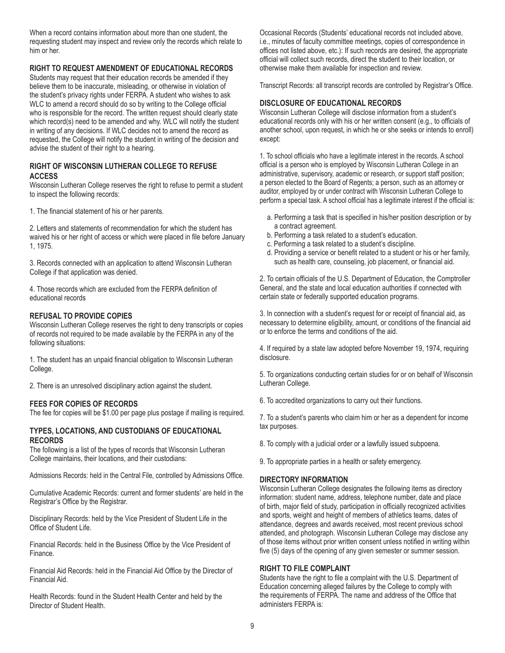When a record contains information about more than one student, the requesting student may inspect and review only the records which relate to him or her.

# **RIGHT TO REQUEST AMENDMENT OF EDUCATIONAL RECORDS**

Students may request that their education records be amended if they believe them to be inaccurate, misleading, or otherwise in violation of the student's privacy rights under FERPA. A student who wishes to ask WLC to amend a record should do so by writing to the College official who is responsible for the record. The written request should clearly state which record(s) need to be amended and why. WLC will notify the student in writing of any decisions. If WLC decides not to amend the record as requested, the College will notify the student in writing of the decision and advise the student of their right to a hearing.

# **RIGHT OF WISCONSIN LUTHERAN COLLEGE TO REFUSE ACCESS**

Wisconsin Lutheran College reserves the right to refuse to permit a student to inspect the following records:

1. The financial statement of his or her parents.

2. Letters and statements of recommendation for which the student has waived his or her right of access or which were placed in file before January 1, 1975.

3. Records connected with an application to attend Wisconsin Lutheran College if that application was denied.

4. Those records which are excluded from the FERPA definition of educational records

# **REFUSAL TO PROVIDE COPIES**

Wisconsin Lutheran College reserves the right to deny transcripts or copies of records not required to be made available by the FERPA in any of the following situations:

1. The student has an unpaid financial obligation to Wisconsin Lutheran College.

2. There is an unresolved disciplinary action against the student.

# **FEES FOR COPIES OF RECORDS**

The fee for copies will be \$1.00 per page plus postage if mailing is required.

#### **TYPES, LOCATIONS, AND CUSTODIANS OF EDUCATIONAL RECORDS**

The following is a list of the types of records that Wisconsin Lutheran College maintains, their locations, and their custodians:

Admissions Records: held in the Central File, controlled by Admissions Office.

Cumulative Academic Records: current and former students' are held in the Registrar's Office by the Registrar.

Disciplinary Records: held by the Vice President of Student Life in the Office of Student Life.

Financial Records: held in the Business Office by the Vice President of Finance.

Financial Aid Records: held in the Financial Aid Office by the Director of Financial Aid.

Health Records: found in the Student Health Center and held by the Director of Student Health.

Occasional Records (Students' educational records not included above, i.e., minutes of faculty committee meetings, copies of correspondence in offices not listed above, etc.): If such records are desired, the appropriate official will collect such records, direct the student to their location, or otherwise make them available for inspection and review.

Transcript Records: all transcript records are controlled by Registrar's Office.

#### **DISCLOSURE OF EDUCATIONAL RECORDS**

Wisconsin Lutheran College will disclose information from a student's educational records only with his or her written consent (e.g., to officials of another school, upon request, in which he or she seeks or intends to enroll) except:

1. To school officials who have a legitimate interest in the records. A school official is a person who is employed by Wisconsin Lutheran College in an administrative, supervisory, academic or research, or support staff position; a person elected to the Board of Regents; a person, such as an attorney or auditor, employed by or under contract with Wisconsin Lutheran College to perform a special task. A school official has a legitimate interest if the official is:

- a. Performing a task that is specified in his/her position description or by a contract agreement.
- b. Performing a task related to a student's education.
- c. Performing a task related to a student's discipline.
- d. Providing a service or benefit related to a student or his or her family, such as health care, counseling, job placement, or financial aid.

2. To certain officials of the U.S. Department of Education, the Comptroller General, and the state and local education authorities if connected with certain state or federally supported education programs.

3. In connection with a student's request for or receipt of financial aid, as necessary to determine eligibility, amount, or conditions of the financial aid or to enforce the terms and conditions of the aid.

4. If required by a state law adopted before November 19, 1974, requiring disclosure.

5. To organizations conducting certain studies for or on behalf of Wisconsin Lutheran College.

6. To accredited organizations to carry out their functions.

7. To a student's parents who claim him or her as a dependent for income tax purposes.

8. To comply with a judicial order or a lawfully issued subpoena.

9. To appropriate parties in a health or safety emergency.

# **DIRECTORY INFORMATION**

Wisconsin Lutheran College designates the following items as directory information: student name, address, telephone number, date and place of birth, major field of study, participation in officially recognized activities and sports, weight and height of members of athletics teams, dates of attendance, degrees and awards received, most recent previous school attended, and photograph. Wisconsin Lutheran College may disclose any of those items without prior written consent unless notified in writing within five (5) days of the opening of any given semester or summer session.

# **RIGHT TO FILE COMPLAINT**

Students have the right to file a complaint with the U.S. Department of Education concerning alleged failures by the College to comply with the requirements of FERPA. The name and address of the Office that administers FERPA is: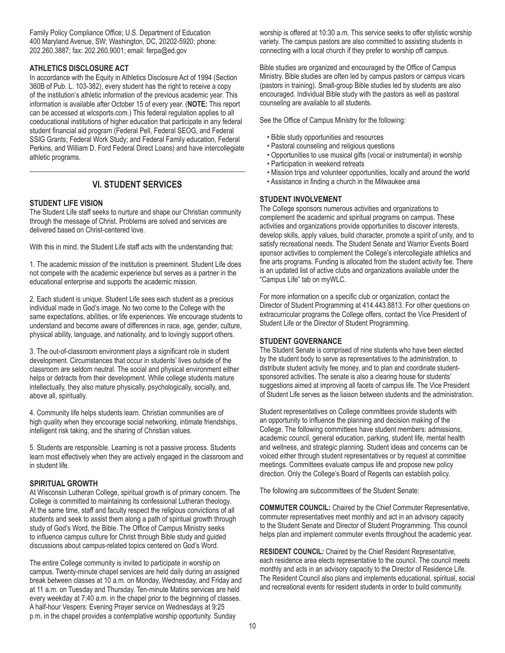Family Policy Compliance Office; U.S. Department of Education 400 Maryland Avenue, SW; Washington, DC, 20202-5920; phone: 202.260.3887; fax: 202.260.9001; email: ferpa@ed.gov

## **ATHLETICS DISCLOSURE ACT**

In accordance with the Equity in Athletics Disclosure Act of 1994 (Section 360B of Pub. L. 103-382), every student has the right to receive a copy of the institution's athletic information of the previous academic year. This information is available after October 15 of every year. (**NOTE:** This report can be accessed at wlcsports.com.) This federal regulation applies to all coeducational institutions of higher education that participate in any federal student financial aid program (Federal Pell, Federal SEOG, and Federal SSIG Grants; Federal Work Study; and Federal Family education, Federal Perkins, and William D. Ford Federal Direct Loans) and have intercollegiate athletic programs.

# **VI. STUDENT SERVICES**

#### **STUDENT LIFE VISION**

The Student Life staff seeks to nurture and shape our Christian community through the message of Christ. Problems are solved and services are delivered based on Christ-centered love.

With this in mind, the Student Life staff acts with the understanding that:

1. The academic mission of the institution is preeminent. Student Life does not compete with the academic experience but serves as a partner in the educational enterprise and supports the academic mission.

2. Each student is unique. Student Life sees each student as a precious individual made in God's image. No two come to the College with the same expectations, abilities, or life experiences. We encourage students to understand and become aware of differences in race, age, gender, culture, physical ability, language, and nationality, and to lovingly support others.

3. The out-of-classroom environment plays a significant role in student development. Circumstances that occur in students' lives outside of the classroom are seldom neutral. The social and physical environment either helps or detracts from their development. While college students mature intellectually, they also mature physically, psychologically, socially, and, above all, spiritually.

4. Community life helps students learn. Christian communities are of high quality when they encourage social networking, intimate friendships, intelligent risk taking, and the sharing of Christian values.

5. Students are responsible. Learning is not a passive process. Students learn most effectively when they are actively engaged in the classroom and in student life.

## **SPIRITUAL GROWTH**

At Wisconsin Lutheran College, spiritual growth is of primary concern. The College is committed to maintaining its confessional Lutheran theology. At the same time, staff and faculty respect the religious convictions of all students and seek to assist them along a path of spiritual growth through study of God's Word, the Bible. The Office of Campus Ministry seeks to influence campus culture for Christ through Bible study and guided discussions about campus-related topics centered on God's Word.

The entire College community is invited to participate in worship on campus. Twenty-minute chapel services are held daily during an assigned break between classes at 10 a.m. on Monday, Wednesday, and Friday and at 11 a.m. on Tuesday and Thursday. Ten-minute Matins services are held every weekday at 7:40 a.m. in the chapel prior to the beginning of classes. A half-hour Vespers: Evening Prayer service on Wednesdays at 9:25 p.m. in the chapel provides a contemplative worship opportunity. Sunday

worship is offered at 10:30 a.m. This service seeks to offer stylistic worship variety. The campus pastors are also committed to assisting students in connecting with a local church if they prefer to worship off campus.

Bible studies are organized and encouraged by the Office of Campus Ministry. Bible studies are often led by campus pastors or campus vicars (pastors in training). Small-group Bible studies led by students are also encouraged. Individual Bible study with the pastors as well as pastoral counseling are available to all students.

See the Office of Campus Ministry for the following:

- Bible study opportunities and resources
- Pastoral counseling and religious questions
- Opportunities to use musical gifts (vocal or instrumental) in worship
- Participation in weekend retreats
- Mission trips and volunteer opportunities, locally and around the world
- Assistance in finding a church in the Milwaukee area

# **STUDENT INVOLVEMENT**

The College sponsors numerous activities and organizations to complement the academic and spiritual programs on campus. These activities and organizations provide opportunities to discover interests, develop skills, apply values, build character, promote a spirit of unity, and to satisfy recreational needs. The Student Senate and Warrior Events Board sponsor activities to complement the College's intercollegiate athletics and fine arts programs. Funding is allocated from the student activity fee. There is an updated list of active clubs and organizations available under the "Campus Life" tab on myWLC.

For more information on a specific club or organization, contact the Director of Student Programming at 414.443.8813. For other questions on extracurricular programs the College offers, contact the Vice President of Student Life or the Director of Student Programming.

#### **STUDENT GOVERNANCE**

The Student Senate is comprised of nine students who have been elected by the student body to serve as representatives to the administration, to distribute student activity fee money, and to plan and coordinate studentsponsored activities. The senate is also a clearing house for students' suggestions aimed at improving all facets of campus life. The Vice President of Student Life serves as the liaison between students and the administration.

Student representatives on College committees provide students with an opportunity to influence the planning and decision making of the College. The following committees have student members: admissions, academic council, general education, parking, student life, mental health and wellness, and strategic planning. Student ideas and concerns can be voiced either through student representatives or by request at committee meetings. Committees evaluate campus life and propose new policy direction. Only the College's Board of Regents can establish policy.

The following are subcommittees of the Student Senate:

**COMMUTER COUNCIL:** Chaired by the Chief Commuter Representative, commuter representatives meet monthly and act in an advisory capacity to the Student Senate and Director of Student Programming. This council helps plan and implement commuter events throughout the academic year.

**RESIDENT COUNCIL:** Chaired by the Chief Resident Representative, each residence area elects representative to the council. The council meets monthly and acts in an advisory capacity to the Director of Residence Life. The Resident Council also plans and implements educational, spiritual, social and recreational events for resident students in order to build community.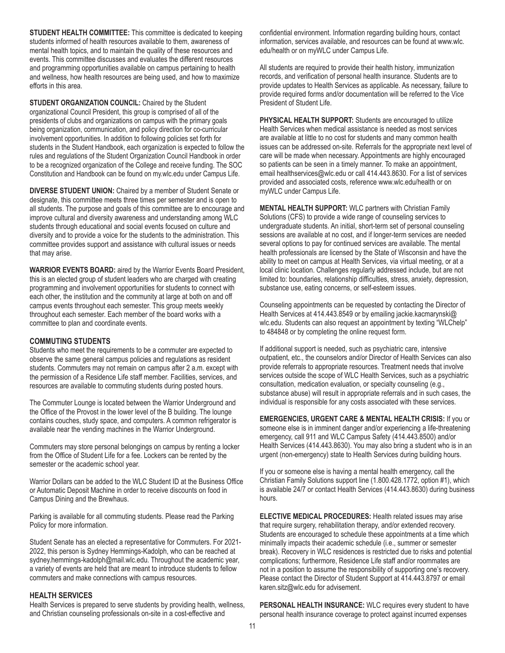**STUDENT HEALTH COMMITTEE:** This committee is dedicated to keeping students informed of health resources available to them, awareness of mental health topics, and to maintain the quality of these resources and events. This committee discusses and evaluates the different resources and programming opportunities available on campus pertaining to health and wellness, how health resources are being used, and how to maximize efforts in this area.

**STUDENT ORGANIZATION COUNCIL:** Chaired by the Student organizational Council President, this group is comprised of all of the presidents of clubs and organizations on campus with the primary goals being organization, communication, and policy direction for co-curricular involvement opportunities. In addition to following policies set forth for students in the Student Handbook, each organization is expected to follow the rules and regulations of the Student Organization Council Handbook in order to be a recognized organization of the College and receive funding. The SOC Constitution and Handbook can be found on my.wlc.edu under Campus Life.

**DIVERSE STUDENT UNION:** Chaired by a member of Student Senate or designate, this committee meets three times per semester and is open to all students. The purpose and goals of this committee are to encourage and improve cultural and diversity awareness and understanding among WLC students through educational and social events focused on culture and diversity and to provide a voice for the students to the administration. This committee provides support and assistance with cultural issues or needs that may arise.

**WARRIOR EVENTS BOARD:** aired by the Warrior Events Board President, this is an elected group of student leaders who are charged with creating programming and involvement opportunities for students to connect with each other, the institution and the community at large at both on and off campus events throughout each semester. This group meets weekly throughout each semester. Each member of the board works with a committee to plan and coordinate events.

#### **COMMUTING STUDENTS**

Students who meet the requirements to be a commuter are expected to observe the same general campus policies and regulations as resident students. Commuters may not remain on campus after 2 a.m. except with the permission of a Residence Life staff member. Facilities, services, and resources are available to commuting students during posted hours.

The Commuter Lounge is located between the Warrior Underground and the Office of the Provost in the lower level of the B building. The lounge contains couches, study space, and computers. A common refrigerator is available near the vending machines in the Warrior Underground.

Commuters may store personal belongings on campus by renting a locker from the Office of Student Life for a fee. Lockers can be rented by the semester or the academic school year.

Warrior Dollars can be added to the WLC Student ID at the Business Office or Automatic Deposit Machine in order to receive discounts on food in Campus Dining and the Brewhaus.

Parking is available for all commuting students. Please read the Parking Policy for more information.

Student Senate has an elected a representative for Commuters. For 2021- 2022, this person is Sydney Hemmings-Kadolph, who can be reached at sydney.hemmings-kadolph@mail.wlc.edu. Throughout the academic year, a variety of events are held that are meant to introduce students to fellow commuters and make connections with campus resources.

#### **HEALTH SERVICES**

Health Services is prepared to serve students by providing health, wellness, and Christian counseling professionals on-site in a cost-effective and

confidential environment. Information regarding building hours, contact information, services available, and resources can be found at www.wlc. edu/health or on myWLC under Campus Life.

All students are required to provide their health history, immunization records, and verification of personal health insurance. Students are to provide updates to Health Services as applicable. As necessary, failure to provide required forms and/or documentation will be referred to the Vice President of Student Life.

**PHYSICAL HEALTH SUPPORT:** Students are encouraged to utilize Health Services when medical assistance is needed as most services are available at little to no cost for students and many common health issues can be addressed on-site. Referrals for the appropriate next level of care will be made when necessary. Appointments are highly encouraged so patients can be seen in a timely manner. To make an appointment, email healthservices@wlc.edu or call 414.443.8630. For a list of services provided and associated costs, reference www.wlc.edu/health or on myWLC under Campus Life.

**MENTAL HEALTH SUPPORT:** WLC partners with Christian Family Solutions (CFS) to provide a wide range of counseling services to undergraduate students. An initial, short-term set of personal counseling sessions are available at no cost, and if longer-term services are needed several options to pay for continued services are available. The mental health professionals are licensed by the State of Wisconsin and have the ability to meet on campus at Health Services, via virtual meeting, or at a local clinic location. Challenges regularly addressed include, but are not limited to: boundaries, relationship difficulties, stress, anxiety, depression, substance use, eating concerns, or self-esteem issues.

Counseling appointments can be requested by contacting the Director of Health Services at 414.443.8549 or by emailing jackie.kacmarynski@ wlc.edu. Students can also request an appointment by texting "WLChelp" to 484848 or by completing the online request form.

If additional support is needed, such as psychiatric care, intensive outpatient, etc., the counselors and/or Director of Health Services can also provide referrals to appropriate resources. Treatment needs that involve services outside the scope of WLC Health Services, such as a psychiatric consultation, medication evaluation, or specialty counseling (e.g., substance abuse) will result in appropriate referrals and in such cases, the individual is responsible for any costs associated with these services.

**EMERGENCIES, URGENT CARE & MENTAL HEALTH CRISIS:** If you or someone else is in imminent danger and/or experiencing a life-threatening emergency, call 911 and WLC Campus Safety (414.443.8500) and/or Health Services (414.443.8630). You may also bring a student who is in an urgent (non-emergency) state to Health Services during building hours.

If you or someone else is having a mental health emergency, call the Christian Family Solutions support line (1.800.428.1772, option #1), which is available 24/7 or contact Health Services (414.443.8630) during business hours.

**ELECTIVE MEDICAL PROCEDURES:** Health related issues may arise that require surgery, rehabilitation therapy, and/or extended recovery. Students are encouraged to schedule these appointments at a time which minimally impacts their academic schedule (i.e., summer or semester break). Recovery in WLC residences is restricted due to risks and potential complications; furthermore, Residence Life staff and/or roommates are not in a position to assume the responsibility of supporting one's recovery. Please contact the Director of Student Support at 414.443.8797 or email karen.sitz@wlc.edu for advisement.

**PERSONAL HEALTH INSURANCE:** WLC requires every student to have personal health insurance coverage to protect against incurred expenses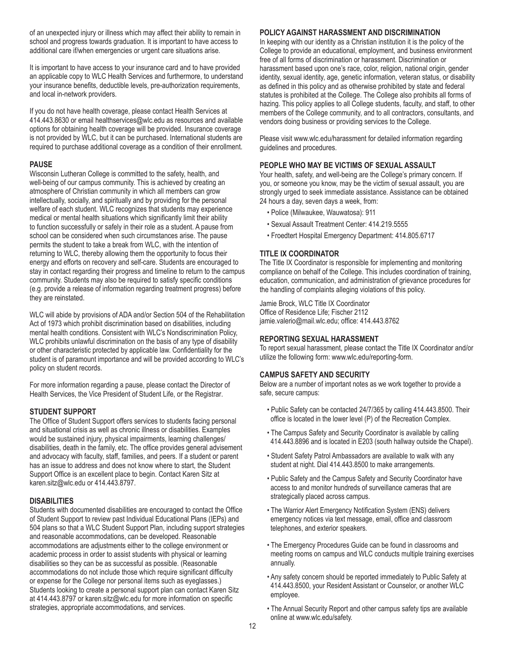of an unexpected injury or illness which may affect their ability to remain in school and progress towards graduation. It is important to have access to additional care if/when emergencies or urgent care situations arise.

It is important to have access to your insurance card and to have provided an applicable copy to WLC Health Services and furthermore, to understand your insurance benefits, deductible levels, pre-authorization requirements, and local in-network providers.

If you do not have health coverage, please contact Health Services at 414.443.8630 or email healthservices@wlc.edu as resources and available options for obtaining health coverage will be provided. Insurance coverage is not provided by WLC, but it can be purchased. International students are required to purchase additional coverage as a condition of their enrollment.

# **PAUSE**

Wisconsin Lutheran College is committed to the safety, health, and well-being of our campus community. This is achieved by creating an atmosphere of Christian community in which all members can grow intellectually, socially, and spiritually and by providing for the personal welfare of each student. WLC recognizes that students may experience medical or mental health situations which significantly limit their ability to function successfully or safely in their role as a student. A pause from school can be considered when such circumstances arise. The pause permits the student to take a break from WLC, with the intention of returning to WLC, thereby allowing them the opportunity to focus their energy and efforts on recovery and self-care. Students are encouraged to stay in contact regarding their progress and timeline to return to the campus community. Students may also be required to satisfy specific conditions (e.g. provide a release of information regarding treatment progress) before they are reinstated.

WLC will abide by provisions of ADA and/or Section 504 of the Rehabilitation Act of 1973 which prohibit discrimination based on disabilities, including mental health conditions. Consistent with WLC's Nondiscrimination Policy, WLC prohibits unlawful discrimination on the basis of any type of disability or other characteristic protected by applicable law. Confidentiality for the student is of paramount importance and will be provided according to WLC's policy on student records.

For more information regarding a pause, please contact the Director of Health Services, the Vice President of Student Life, or the Registrar.

# **STUDENT SUPPORT**

The Office of Student Support offers services to students facing personal and situational crisis as well as chronic illness or disabilities. Examples would be sustained injury, physical impairments, learning challenges/ disabilities, death in the family, etc. The office provides general advisement and advocacy with faculty, staff, families, and peers. If a student or parent has an issue to address and does not know where to start, the Student Support Office is an excellent place to begin. Contact Karen Sitz at karen.sitz@wlc.edu or 414.443.8797.

# **DISABILITIES**

Students with documented disabilities are encouraged to contact the Office of Student Support to review past Individual Educational Plans (IEPs) and 504 plans so that a WLC Student Support Plan, including support strategies and reasonable accommodations, can be developed. Reasonable accommodations are adjustments either to the college environment or academic process in order to assist students with physical or learning disabilities so they can be as successful as possible. (Reasonable accommodations do not include those which require significant difficulty or expense for the College nor personal items such as eyeglasses.) Students looking to create a personal support plan can contact Karen Sitz at 414.443.8797 or karen.sitz@wlc.edu for more information on specific strategies, appropriate accommodations, and services.

## **POLICY AGAINST HARASSMENT AND DISCRIMINATION**

In keeping with our identity as a Christian institution it is the policy of the College to provide an educational, employment, and business environment free of all forms of discrimination or harassment. Discrimination or harassment based upon one's race, color, religion, national origin, gender identity, sexual identity, age, genetic information, veteran status, or disability as defined in this policy and as otherwise prohibited by state and federal statutes is prohibited at the College. The College also prohibits all forms of hazing. This policy applies to all College students, faculty, and staff, to other members of the College community, and to all contractors, consultants, and vendors doing business or providing services to the College.

Please visit www.wlc.edu/harassment for detailed information regarding guidelines and procedures.

# **PEOPLE WHO MAY BE VICTIMS OF SEXUAL ASSAULT**

Your health, safety, and well-being are the College's primary concern. If you, or someone you know, may be the victim of sexual assault, you are strongly urged to seek immediate assistance. Assistance can be obtained 24 hours a day, seven days a week, from:

- Police (Milwaukee, Wauwatosa): 911
- Sexual Assault Treatment Center: 414.219.5555
- Froedtert Hospital Emergency Department: 414.805.6717

# **TITLE IX COORDINATOR**

The Title IX Coordinator is responsible for implementing and monitoring compliance on behalf of the College. This includes coordination of training, education, communication, and administration of grievance procedures for the handling of complaints alleging violations of this policy.

Jamie Brock, WLC Title IX Coordinator Office of Residence Life; Fischer 2112 jamie.valerio@mail.wlc.edu; office: 414.443.8762

# **REPORTING SEXUAL HARASSMENT**

To report sexual harassment, please contact the Title IX Coordinator and/or utilize the following form: www.wlc.edu/reporting-form.

# **CAMPUS SAFETY AND SECURITY**

Below are a number of important notes as we work together to provide a safe, secure campus:

- Public Safety can be contacted 24/7/365 by calling 414.443.8500. Their office is located in the lower level (P) of the Recreation Complex.
- The Campus Safety and Security Coordinator is available by calling 414.443.8896 and is located in E203 (south hallway outside the Chapel).
- Student Safety Patrol Ambassadors are available to walk with any student at night. Dial 414.443.8500 to make arrangements.
- Public Safety and the Campus Safety and Security Coordinator have access to and monitor hundreds of surveillance cameras that are strategically placed across campus.
- The Warrior Alert Emergency Notification System (ENS) delivers emergency notices via text message, email, office and classroom telephones, and exterior speakers.
- The Emergency Procedures Guide can be found in classrooms and meeting rooms on campus and WLC conducts multiple training exercises annually.
- Any safety concern should be reported immediately to Public Safety at 414.443.8500, your Resident Assistant or Counselor, or another WLC employee.
- The Annual Security Report and other campus safety tips are available online at www.wlc.edu/safety.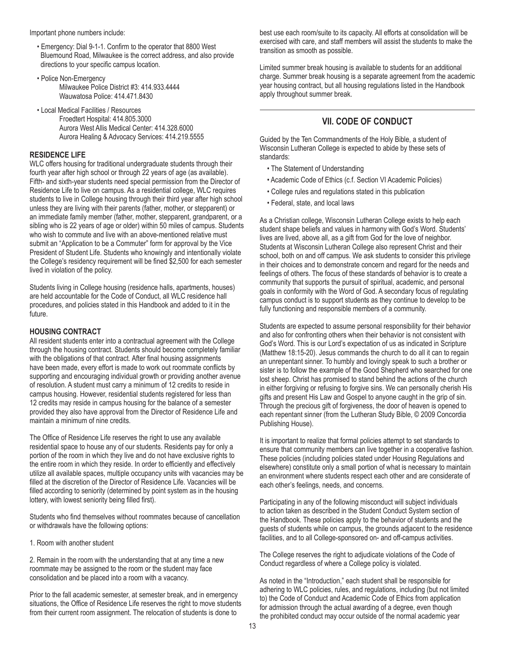Important phone numbers include:

- Emergency: Dial 9-1-1. Confirm to the operator that 8800 West Bluemound Road, Milwaukee is the correct address, and also provide directions to your specific campus location.
- Police Non-Emergency Milwaukee Police District #3: 414.933.4444 Wauwatosa Police: 414.471.8430
- Local Medical Facilities / Resources Froedtert Hospital: 414.805.3000 Aurora West Allis Medical Center: 414.328.6000 Aurora Healing & Advocacy Services: 414.219.5555

# **RESIDENCE LIFE**

WLC offers housing for traditional undergraduate students through their fourth year after high school or through 22 years of age (as available). Fifth- and sixth-year students need special permission from the Director of Residence Life to live on campus. As a residential college, WLC requires students to live in College housing through their third year after high school unless they are living with their parents (father, mother, or stepparent) or an immediate family member (father, mother, stepparent, grandparent, or a sibling who is 22 years of age or older) within 50 miles of campus. Students who wish to commute and live with an above-mentioned relative must submit an "Application to be a Commuter" form for approval by the Vice President of Student Life. Students who knowingly and intentionally violate the College's residency requirement will be fined \$2,500 for each semester lived in violation of the policy.

Students living in College housing (residence halls, apartments, houses) are held accountable for the Code of Conduct, all WLC residence hall procedures, and policies stated in this Handbook and added to it in the future.

# **HOUSING CONTRACT**

All resident students enter into a contractual agreement with the College through the housing contract. Students should become completely familiar with the obligations of that contract. After final housing assignments have been made, every effort is made to work out roommate conflicts by supporting and encouraging individual growth or providing another avenue of resolution. A student must carry a minimum of 12 credits to reside in campus housing. However, residential students registered for less than 12 credits may reside in campus housing for the balance of a semester provided they also have approval from the Director of Residence Life and maintain a minimum of nine credits.

The Office of Residence Life reserves the right to use any available residential space to house any of our students. Residents pay for only a portion of the room in which they live and do not have exclusive rights to the entire room in which they reside. In order to efficiently and effectively utilize all available spaces, multiple occupancy units with vacancies may be filled at the discretion of the Director of Residence Life. Vacancies will be filled according to seniority (determined by point system as in the housing lottery, with lowest seniority being filled first).

Students who find themselves without roommates because of cancellation or withdrawals have the following options:

1. Room with another student

2. Remain in the room with the understanding that at any time a new roommate may be assigned to the room or the student may face consolidation and be placed into a room with a vacancy.

Prior to the fall academic semester, at semester break, and in emergency situations, the Office of Residence Life reserves the right to move students from their current room assignment. The relocation of students is done to

best use each room/suite to its capacity. All efforts at consolidation will be exercised with care, and staff members will assist the students to make the transition as smooth as possible.

Limited summer break housing is available to students for an additional charge. Summer break housing is a separate agreement from the academic year housing contract, but all housing regulations listed in the Handbook apply throughout summer break.

# **VII. CODE OF CONDUCT**

Guided by the Ten Commandments of the Holy Bible, a student of Wisconsin Lutheran College is expected to abide by these sets of standards:

- The Statement of Understanding
- Academic Code of Ethics (c.f. Section VI Academic Policies)
- College rules and regulations stated in this publication
- Federal, state, and local laws

As a Christian college, Wisconsin Lutheran College exists to help each student shape beliefs and values in harmony with God's Word. Students' lives are lived, above all, as a gift from God for the love of neighbor. Students at Wisconsin Lutheran College also represent Christ and their school, both on and off campus. We ask students to consider this privilege in their choices and to demonstrate concern and regard for the needs and feelings of others. The focus of these standards of behavior is to create a community that supports the pursuit of spiritual, academic, and personal goals in conformity with the Word of God. A secondary focus of regulating campus conduct is to support students as they continue to develop to be fully functioning and responsible members of a community.

Students are expected to assume personal responsibility for their behavior and also for confronting others when their behavior is not consistent with God's Word. This is our Lord's expectation of us as indicated in Scripture (Matthew 18:15-20). Jesus commands the church to do all it can to regain an unrepentant sinner. To humbly and lovingly speak to such a brother or sister is to follow the example of the Good Shepherd who searched for one lost sheep. Christ has promised to stand behind the actions of the church in either forgiving or refusing to forgive sins. We can personally cherish His gifts and present His Law and Gospel to anyone caught in the grip of sin. Through the precious gift of forgiveness, the door of heaven is opened to each repentant sinner (from the Lutheran Study Bible, © 2009 Concordia Publishing House).

It is important to realize that formal policies attempt to set standards to ensure that community members can live together in a cooperative fashion. These policies (including policies stated under Housing Regulations and elsewhere) constitute only a small portion of what is necessary to maintain an environment where students respect each other and are considerate of each other's feelings, needs, and concerns.

Participating in any of the following misconduct will subject individuals to action taken as described in the Student Conduct System section of the Handbook. These policies apply to the behavior of students and the guests of students while on campus, the grounds adjacent to the residence facilities, and to all College-sponsored on- and off-campus activities.

The College reserves the right to adjudicate violations of the Code of Conduct regardless of where a College policy is violated.

As noted in the "Introduction," each student shall be responsible for adhering to WLC policies, rules, and regulations, including (but not limited to) the Code of Conduct and Academic Code of Ethics from application for admission through the actual awarding of a degree, even though the prohibited conduct may occur outside of the normal academic year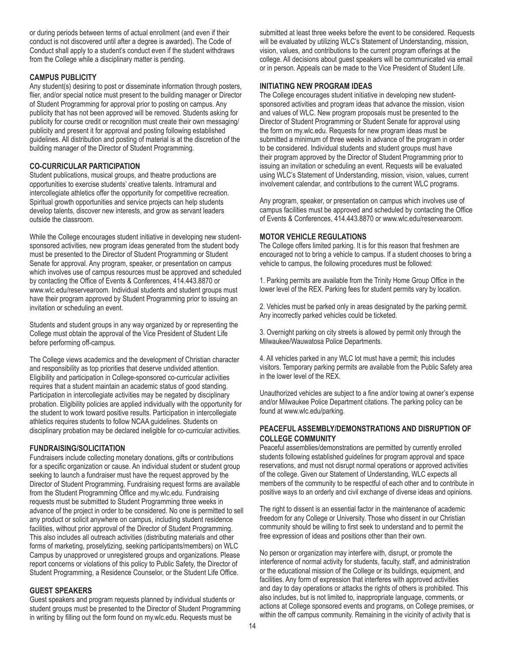or during periods between terms of actual enrollment (and even if their conduct is not discovered until after a degree is awarded). The Code of Conduct shall apply to a student's conduct even if the student withdraws from the College while a disciplinary matter is pending.

# **CAMPUS PUBLICITY**

Any student(s) desiring to post or disseminate information through posters, flier, and/or special notice must present to the building manager or Director of Student Programming for approval prior to posting on campus. Any publicity that has not been approved will be removed. Students asking for publicity for course credit or recognition must create their own messaging/ publicity and present it for approval and posting following established guidelines. All distribution and posting of material is at the discretion of the building manager of the Director of Student Programming.

# **CO-CURRICULAR PARTICIPATION**

Student publications, musical groups, and theatre productions are opportunities to exercise students' creative talents. Intramural and intercollegiate athletics offer the opportunity for competitive recreation. Spiritual growth opportunities and service projects can help students develop talents, discover new interests, and grow as servant leaders outside the classroom.

While the College encourages student initiative in developing new studentsponsored activities, new program ideas generated from the student body must be presented to the Director of Student Programming or Student Senate for approval. Any program, speaker, or presentation on campus which involves use of campus resources must be approved and scheduled by contacting the Office of Events & Conferences, 414.443.8870 or www.wlc.edu/reservearoom. Individual students and student groups must have their program approved by Student Programming prior to issuing an invitation or scheduling an event.

Students and student groups in any way organized by or representing the College must obtain the approval of the Vice President of Student Life before performing off-campus.

The College views academics and the development of Christian character and responsibility as top priorities that deserve undivided attention. Eligibility and participation in College-sponsored co-curricular activities requires that a student maintain an academic status of good standing. Participation in intercollegiate activities may be negated by disciplinary probation. Eligibility policies are applied individually with the opportunity for the student to work toward positive results. Participation in intercollegiate athletics requires students to follow NCAA guidelines. Students on disciplinary probation may be declared ineligible for co-curricular activities.

# **FUNDRAISING/SOLICITATION**

Fundraisers include collecting monetary donations, gifts or contributions for a specific organization or cause. An individual student or student group seeking to launch a fundraiser must have the request approved by the Director of Student Programming. Fundraising request forms are available from the Student Programming Office and my.wlc.edu. Fundraising requests must be submitted to Student Programming three weeks in advance of the project in order to be considered. No one is permitted to sell any product or solicit anywhere on campus, including student residence facilities, without prior approval of the Director of Student Programming. This also includes all outreach activities (distributing materials and other forms of marketing, proselytizing, seeking participants/members) on WLC Campus by unapproved or unregistered groups and organizations. Please report concerns or violations of this policy to Public Safety, the Director of Student Programming, a Residence Counselor, or the Student Life Office.

# **GUEST SPEAKERS**

Guest speakers and program requests planned by individual students or student groups must be presented to the Director of Student Programming in writing by filling out the form found on my.wlc.edu. Requests must be

submitted at least three weeks before the event to be considered. Requests will be evaluated by utilizing WLC's Statement of Understanding, mission, vision, values, and contributions to the current program offerings at the college. All decisions about guest speakers will be communicated via email or in person. Appeals can be made to the Vice President of Student Life.

# **INITIATING NEW PROGRAM IDEAS**

The College encourages student initiative in developing new studentsponsored activities and program ideas that advance the mission, vision and values of WLC. New program proposals must be presented to the Director of Student Programming or Student Senate for approval using the form on my.wlc.edu. Requests for new program ideas must be submitted a minimum of three weeks in advance of the program in order to be considered. Individual students and student groups must have their program approved by the Director of Student Programming prior to issuing an invitation or scheduling an event. Requests will be evaluated using WLC's Statement of Understanding, mission, vision, values, current involvement calendar, and contributions to the current WLC programs.

Any program, speaker, or presentation on campus which involves use of campus facilities must be approved and scheduled by contacting the Office of Events & Conferences, 414.443.8870 or www.wlc.edu/reservearoom.

# **MOTOR VEHICLE REGULATIONS**

The College offers limited parking. It is for this reason that freshmen are encouraged not to bring a vehicle to campus. If a student chooses to bring a vehicle to campus, the following procedures must be followed:

1. Parking permits are available from the Trinity Home Group Office in the lower level of the REX. Parking fees for student permits vary by location.

2. Vehicles must be parked only in areas designated by the parking permit. Any incorrectly parked vehicles could be ticketed.

3. Overnight parking on city streets is allowed by permit only through the Milwaukee/Wauwatosa Police Departments.

4. All vehicles parked in any WLC lot must have a permit; this includes visitors. Temporary parking permits are available from the Public Safety area in the lower level of the REX.

Unauthorized vehicles are subject to a fine and/or towing at owner's expense and/or Milwaukee Police Department citations. The parking policy can be found at www.wlc.edu/parking.

# **PEACEFUL ASSEMBLY/DEMONSTRATIONS AND DISRUPTION OF COLLEGE COMMUNITY**

Peaceful assemblies/demonstrations are permitted by currently enrolled students following established guidelines for program approval and space reservations, and must not disrupt normal operations or approved activities of the college. Given our Statement of Understanding, WLC expects all members of the community to be respectful of each other and to contribute in positive ways to an orderly and civil exchange of diverse ideas and opinions.

The right to dissent is an essential factor in the maintenance of academic freedom for any College or University. Those who dissent in our Christian community should be willing to first seek to understand and to permit the free expression of ideas and positions other than their own.

No person or organization may interfere with, disrupt, or promote the interference of normal activity for students, faculty, staff, and administration or the educational mission of the College or its buildings, equipment, and facilities. Any form of expression that interferes with approved activities and day to day operations or attacks the rights of others is prohibited. This also includes, but is not limited to, inappropriate language, comments, or actions at College sponsored events and programs, on College premises, or within the off campus community. Remaining in the vicinity of activity that is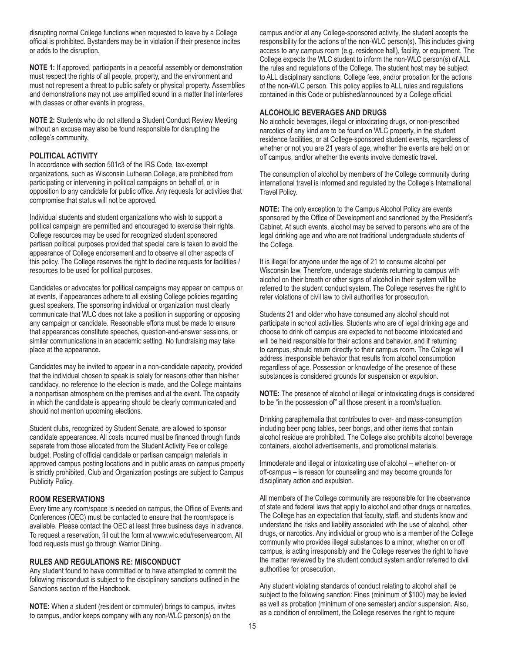disrupting normal College functions when requested to leave by a College official is prohibited. Bystanders may be in violation if their presence incites or adds to the disruption.

**NOTE 1:** If approved, participants in a peaceful assembly or demonstration must respect the rights of all people, property, and the environment and must not represent a threat to public safety or physical property. Assemblies and demonstrations may not use amplified sound in a matter that interferes with classes or other events in progress.

**NOTE 2:** Students who do not attend a Student Conduct Review Meeting without an excuse may also be found responsible for disrupting the college's community.

#### **POLITICAL ACTIVITY**

In accordance with section 501c3 of the IRS Code, tax-exempt organizations, such as Wisconsin Lutheran College, are prohibited from participating or intervening in political campaigns on behalf of, or in opposition to any candidate for public office. Any requests for activities that compromise that status will not be approved.

Individual students and student organizations who wish to support a political campaign are permitted and encouraged to exercise their rights. College resources may be used for recognized student sponsored partisan political purposes provided that special care is taken to avoid the appearance of College endorsement and to observe all other aspects of this policy. The College reserves the right to decline requests for facilities / resources to be used for political purposes.

Candidates or advocates for political campaigns may appear on campus or at events, if appearances adhere to all existing College policies regarding guest speakers. The sponsoring individual or organization must clearly communicate that WLC does not take a position in supporting or opposing any campaign or candidate. Reasonable efforts must be made to ensure that appearances constitute speeches, question-and-answer sessions, or similar communications in an academic setting. No fundraising may take place at the appearance.

Candidates may be invited to appear in a non-candidate capacity, provided that the individual chosen to speak is solely for reasons other than his/her candidacy, no reference to the election is made, and the College maintains a nonpartisan atmosphere on the premises and at the event. The capacity in which the candidate is appearing should be clearly communicated and should not mention upcoming elections.

Student clubs, recognized by Student Senate, are allowed to sponsor candidate appearances. All costs incurred must be financed through funds separate from those allocated from the Student Activity Fee or college budget. Posting of official candidate or partisan campaign materials in approved campus posting locations and in public areas on campus property is strictly prohibited. Club and Organization postings are subject to Campus Publicity Policy.

# **ROOM RESERVATIONS**

Every time any room/space is needed on campus, the Office of Events and Conferences (OEC) must be contacted to ensure that the room/space is available. Please contact the OEC at least three business days in advance. To request a reservation, fill out the form at www.wlc.edu/reservearoom. All food requests must go through Warrior Dining.

#### **RULES AND REGULATIONS RE: MISCONDUCT**

Any student found to have committed or to have attempted to commit the following misconduct is subject to the disciplinary sanctions outlined in the Sanctions section of the Handbook.

**NOTE:** When a student (resident or commuter) brings to campus, invites to campus, and/or keeps company with any non-WLC person(s) on the

campus and/or at any College-sponsored activity, the student accepts the responsibility for the actions of the non-WLC person(s). This includes giving access to any campus room (e.g. residence hall), facility, or equipment. The College expects the WLC student to inform the non-WLC person(s) of ALL the rules and regulations of the College. The student host may be subject to ALL disciplinary sanctions, College fees, and/or probation for the actions of the non-WLC person. This policy applies to ALL rules and regulations contained in this Code or published/announced by a College official.

#### **ALCOHOLIC BEVERAGES AND DRUGS**

No alcoholic beverages, illegal or intoxicating drugs, or non-prescribed narcotics of any kind are to be found on WLC property, in the student residence facilities, or at College-sponsored student events, regardless of whether or not you are 21 years of age, whether the events are held on or off campus, and/or whether the events involve domestic travel.

The consumption of alcohol by members of the College community during international travel is informed and regulated by the College's International Travel Policy.

**NOTE:** The only exception to the Campus Alcohol Policy are events sponsored by the Office of Development and sanctioned by the President's Cabinet. At such events, alcohol may be served to persons who are of the legal drinking age and who are not traditional undergraduate students of the College.

It is illegal for anyone under the age of 21 to consume alcohol per Wisconsin law. Therefore, underage students returning to campus with alcohol on their breath or other signs of alcohol in their system will be referred to the student conduct system. The College reserves the right to refer violations of civil law to civil authorities for prosecution.

Students 21 and older who have consumed any alcohol should not participate in school activities. Students who are of legal drinking age and choose to drink off campus are expected to not become intoxicated and will be held responsible for their actions and behavior, and if returning to campus, should return directly to their campus room. The College will address irresponsible behavior that results from alcohol consumption regardless of age. Possession or knowledge of the presence of these substances is considered grounds for suspension or expulsion.

**NOTE:** The presence of alcohol or illegal or intoxicating drugs is considered to be "in the possession of" all those present in a room/situation.

Drinking paraphernalia that contributes to over- and mass-consumption including beer pong tables, beer bongs, and other items that contain alcohol residue are prohibited. The College also prohibits alcohol beverage containers, alcohol advertisements, and promotional materials.

Immoderate and illegal or intoxicating use of alcohol – whether on- or off-campus – is reason for counseling and may become grounds for disciplinary action and expulsion.

All members of the College community are responsible for the observance of state and federal laws that apply to alcohol and other drugs or narcotics. The College has an expectation that faculty, staff, and students know and understand the risks and liability associated with the use of alcohol, other drugs, or narcotics. Any individual or group who is a member of the College community who provides illegal substances to a minor, whether on or off campus, is acting irresponsibly and the College reserves the right to have the matter reviewed by the student conduct system and/or referred to civil authorities for prosecution.

Any student violating standards of conduct relating to alcohol shall be subject to the following sanction: Fines (minimum of \$100) may be levied as well as probation (minimum of one semester) and/or suspension. Also, as a condition of enrollment, the College reserves the right to require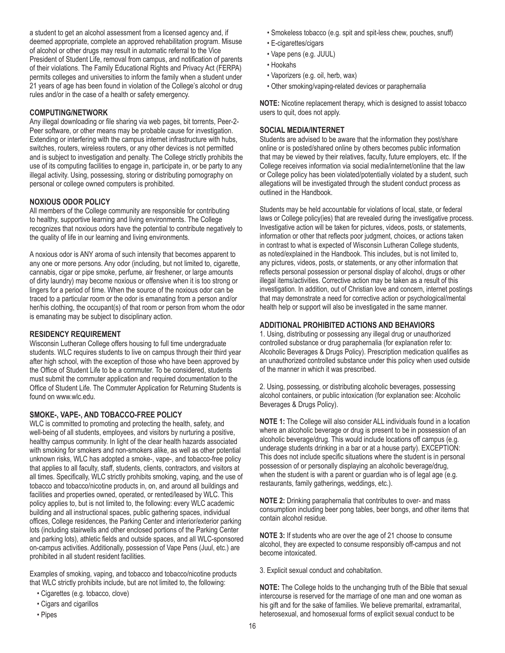a student to get an alcohol assessment from a licensed agency and, if deemed appropriate, complete an approved rehabilitation program. Misuse of alcohol or other drugs may result in automatic referral to the Vice President of Student Life, removal from campus, and notification of parents of their violations. The Family Educational Rights and Privacy Act (FERPA) permits colleges and universities to inform the family when a student under 21 years of age has been found in violation of the College's alcohol or drug rules and/or in the case of a health or safety emergency.

# **COMPUTING/NETWORK**

Any illegal downloading or file sharing via web pages, bit torrents, Peer-2- Peer software, or other means may be probable cause for investigation. Extending or interfering with the campus internet infrastructure with hubs, switches, routers, wireless routers, or any other devices is not permitted and is subject to investigation and penalty. The College strictly prohibits the use of its computing facilities to engage in, participate in, or be party to any illegal activity. Using, possessing, storing or distributing pornography on personal or college owned computers is prohibited.

# **NOXIOUS ODOR POLICY**

All members of the College community are responsible for contributing to healthy, supportive learning and living environments. The College recognizes that noxious odors have the potential to contribute negatively to the quality of life in our learning and living environments.

A noxious odor is ANY aroma of such intensity that becomes apparent to any one or more persons. Any odor (including, but not limited to, cigarette, cannabis, cigar or pipe smoke, perfume, air freshener, or large amounts of dirty laundry) may become noxious or offensive when it is too strong or lingers for a period of time. When the source of the noxious odor can be traced to a particular room or the odor is emanating from a person and/or her/his clothing, the occupant(s) of that room or person from whom the odor is emanating may be subject to disciplinary action.

# **RESIDENCY REQUIREMENT**

Wisconsin Lutheran College offers housing to full time undergraduate students. WLC requires students to live on campus through their third year after high school, with the exception of those who have been approved by the Office of Student Life to be a commuter. To be considered, students must submit the commuter application and required documentation to the Office of Student Life. The Commuter Application for Returning Students is found on www.wlc.edu.

# **SMOKE-, VAPE-, AND TOBACCO-FREE POLICY**

WLC is committed to promoting and protecting the health, safety, and well-being of all students, employees, and visitors by nurturing a positive, healthy campus community. In light of the clear health hazards associated with smoking for smokers and non-smokers alike, as well as other potential unknown risks, WLC has adopted a smoke-, vape-, and tobacco-free policy that applies to all faculty, staff, students, clients, contractors, and visitors at all times. Specifically, WLC strictly prohibits smoking, vaping, and the use of tobacco and tobacco/nicotine products in, on, and around all buildings and facilities and properties owned, operated, or rented/leased by WLC. This policy applies to, but is not limited to, the following: every WLC academic building and all instructional spaces, public gathering spaces, individual offices, College residences, the Parking Center and interior/exterior parking lots (including stairwells and other enclosed portions of the Parking Center and parking lots), athletic fields and outside spaces, and all WLC-sponsored on-campus activities. Additionally, possession of Vape Pens (Juul, etc.) are prohibited in all student resident facilities.

Examples of smoking, vaping, and tobacco and tobacco/nicotine products that WLC strictly prohibits include, but are not limited to, the following:

- Cigarettes (e.g. tobacco, clove)
- Cigars and cigarillos
- Pipes
- Smokeless tobacco (e.g. spit and spit-less chew, pouches, snuff)
- E-cigarettes/cigars
- Vape pens (e.g. JUUL)
- Hookahs
- Vaporizers (e.g. oil, herb, wax)
- Other smoking/vaping-related devices or paraphernalia

**NOTE:** Nicotine replacement therapy, which is designed to assist tobacco users to quit, does not apply.

# **SOCIAL MEDIA/INTERNET**

Students are advised to be aware that the information they post/share online or is posted/shared online by others becomes public information that may be viewed by their relatives, faculty, future employers, etc. If the College receives information via social media/internet/online that the law or College policy has been violated/potentially violated by a student, such allegations will be investigated through the student conduct process as outlined in the Handbook.

Students may be held accountable for violations of local, state, or federal laws or College policy(ies) that are revealed during the investigative process. Investigative action will be taken for pictures, videos, posts, or statements, information or other that reflects poor judgment, choices, or actions taken in contrast to what is expected of Wisconsin Lutheran College students, as noted/explained in the Handbook. This includes, but is not limited to, any pictures, videos, posts, or statements, or any other information that reflects personal possession or personal display of alcohol, drugs or other illegal items/activities. Corrective action may be taken as a result of this investigation. In addition, out of Christian love and concern, internet postings that may demonstrate a need for corrective action or psychological/mental health help or support will also be investigated in the same manner.

# **ADDITIONAL PROHIBITED ACTIONS AND BEHAVIORS**

1. Using, distributing or possessing any illegal drug or unauthorized controlled substance or drug paraphernalia (for explanation refer to: Alcoholic Beverages & Drugs Policy). Prescription medication qualifies as an unauthorized controlled substance under this policy when used outside of the manner in which it was prescribed.

2. Using, possessing, or distributing alcoholic beverages, possessing alcohol containers, or public intoxication (for explanation see: Alcoholic Beverages & Drugs Policy).

**NOTE 1:** The College will also consider ALL individuals found in a location where an alcoholic beverage or drug is present to be in possession of an alcoholic beverage/drug. This would include locations off campus (e.g. underage students drinking in a bar or at a house party). EXCEPTION: This does not include specific situations where the student is in personal possession of or personally displaying an alcoholic beverage/drug, when the student is with a parent or guardian who is of legal age (e.g. restaurants, family gatherings, weddings, etc.).

**NOTE 2:** Drinking paraphernalia that contributes to over- and mass consumption including beer pong tables, beer bongs, and other items that contain alcohol residue.

**NOTE 3:** If students who are over the age of 21 choose to consume alcohol, they are expected to consume responsibly off-campus and not become intoxicated.

3. Explicit sexual conduct and cohabitation.

**NOTE:** The College holds to the unchanging truth of the Bible that sexual intercourse is reserved for the marriage of one man and one woman as his gift and for the sake of families. We believe premarital, extramarital, heterosexual, and homosexual forms of explicit sexual conduct to be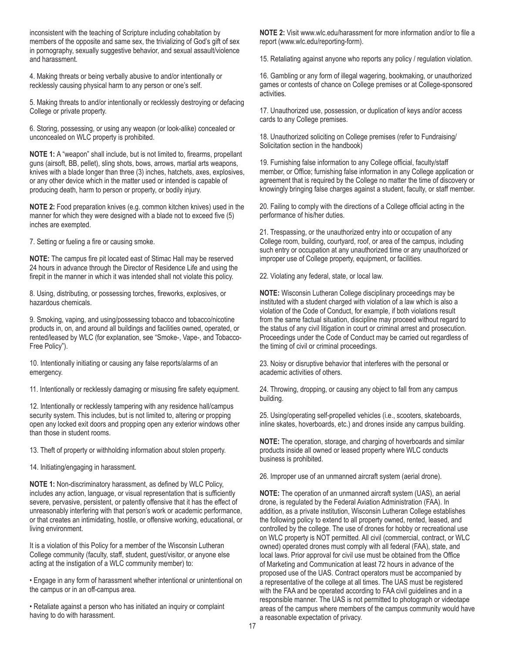inconsistent with the teaching of Scripture including cohabitation by members of the opposite and same sex, the trivializing of God's gift of sex in pornography, sexually suggestive behavior, and sexual assault/violence and harassment.

4. Making threats or being verbally abusive to and/or intentionally or recklessly causing physical harm to any person or one's self.

5. Making threats to and/or intentionally or recklessly destroying or defacing College or private property.

6. Storing, possessing, or using any weapon (or look-alike) concealed or unconcealed on WLC property is prohibited.

**NOTE 1:** A "weapon" shall include, but is not limited to, firearms, propellant guns (airsoft, BB, pellet), sling shots, bows, arrows, martial arts weapons, knives with a blade longer than three (3) inches, hatchets, axes, explosives, or any other device which in the matter used or intended is capable of producing death, harm to person or property, or bodily injury.

**NOTE 2:** Food preparation knives (e.g. common kitchen knives) used in the manner for which they were designed with a blade not to exceed five (5) inches are exempted.

7. Setting or fueling a fire or causing smoke.

**NOTE:** The campus fire pit located east of Stimac Hall may be reserved 24 hours in advance through the Director of Residence Life and using the firepit in the manner in which it was intended shall not violate this policy.

8. Using, distributing, or possessing torches, fireworks, explosives, or hazardous chemicals.

9. Smoking, vaping, and using/possessing tobacco and tobacco/nicotine products in, on, and around all buildings and facilities owned, operated, or rented/leased by WLC (for explanation, see "Smoke-, Vape-, and Tobacco-Free Policy").

10. Intentionally initiating or causing any false reports/alarms of an emergency.

11. Intentionally or recklessly damaging or misusing fire safety equipment.

12. Intentionally or recklessly tampering with any residence hall/campus security system. This includes, but is not limited to, altering or propping open any locked exit doors and propping open any exterior windows other than those in student rooms.

13. Theft of property or withholding information about stolen property.

14. Initiating/engaging in harassment.

**NOTE 1:** Non-discriminatory harassment, as defined by WLC Policy, includes any action, language, or visual representation that is sufficiently severe, pervasive, persistent, or patently offensive that it has the effect of unreasonably interfering with that person's work or academic performance, or that creates an intimidating, hostile, or offensive working, educational, or living environment.

It is a violation of this Policy for a member of the Wisconsin Lutheran College community (faculty, staff, student, guest/visitor, or anyone else acting at the instigation of a WLC community member) to:

• Engage in any form of harassment whether intentional or unintentional on the campus or in an off-campus area.

• Retaliate against a person who has initiated an inquiry or complaint having to do with harassment.

**NOTE 2:** Visit www.wlc.edu/harassment for more information and/or to file a report (www.wlc.edu/reporting-form).

15. Retaliating against anyone who reports any policy / regulation violation.

16. Gambling or any form of illegal wagering, bookmaking, or unauthorized games or contests of chance on College premises or at College-sponsored activities.

17. Unauthorized use, possession, or duplication of keys and/or access cards to any College premises.

18. Unauthorized soliciting on College premises (refer to Fundraising/ Solicitation section in the handbook)

19. Furnishing false information to any College official, faculty/staff member, or Office; furnishing false information in any College application or agreement that is required by the College no matter the time of discovery or knowingly bringing false charges against a student, faculty, or staff member.

20. Failing to comply with the directions of a College official acting in the performance of his/her duties.

21. Trespassing, or the unauthorized entry into or occupation of any College room, building, courtyard, roof, or area of the campus, including such entry or occupation at any unauthorized time or any unauthorized or improper use of College property, equipment, or facilities.

22. Violating any federal, state, or local law.

**NOTE:** Wisconsin Lutheran College disciplinary proceedings may be instituted with a student charged with violation of a law which is also a violation of the Code of Conduct, for example, if both violations result from the same factual situation, discipline may proceed without regard to the status of any civil litigation in court or criminal arrest and prosecution. Proceedings under the Code of Conduct may be carried out regardless of the timing of civil or criminal proceedings.

23. Noisy or disruptive behavior that interferes with the personal or academic activities of others.

24. Throwing, dropping, or causing any object to fall from any campus building.

25. Using/operating self-propelled vehicles (i.e., scooters, skateboards, inline skates, hoverboards, etc.) and drones inside any campus building.

**NOTE:** The operation, storage, and charging of hoverboards and similar products inside all owned or leased property where WLC conducts business is prohibited.

26. Improper use of an unmanned aircraft system (aerial drone).

**NOTE:** The operation of an unmanned aircraft system (UAS), an aerial drone, is regulated by the Federal Aviation Administration (FAA). In addition, as a private institution, Wisconsin Lutheran College establishes the following policy to extend to all property owned, rented, leased, and controlled by the college. The use of drones for hobby or recreational use on WLC property is NOT permitted. All civil (commercial, contract, or WLC owned) operated drones must comply with all federal (FAA), state, and local laws. Prior approval for civil use must be obtained from the Office of Marketing and Communication at least 72 hours in advance of the proposed use of the UAS. Contract operators must be accompanied by a representative of the college at all times. The UAS must be registered with the FAA and be operated according to FAA civil guidelines and in a responsible manner. The UAS is not permitted to photograph or videotape areas of the campus where members of the campus community would have a reasonable expectation of privacy.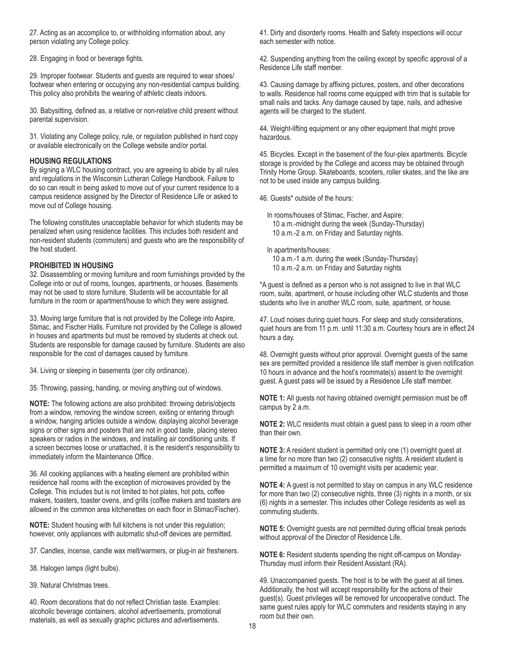27. Acting as an accomplice to, or withholding information about, any person violating any College policy.

28. Engaging in food or beverage fights.

29. Improper footwear. Students and guests are required to wear shoes/ footwear when entering or occupying any non-residential campus building. This policy also prohibits the wearing of athletic cleats indoors.

30. Babysitting, defined as, a relative or non-relative child present without parental supervision.

31. Violating any College policy, rule, or regulation published in hard copy or available electronically on the College website and/or portal.

#### **HOUSING REGULATIONS**

By signing a WLC housing contract, you are agreeing to abide by all rules and regulations in the Wisconsin Lutheran College Handbook. Failure to do so can result in being asked to move out of your current residence to a campus residence assigned by the Director of Residence Life or asked to move out of College housing.

The following constitutes unacceptable behavior for which students may be penalized when using residence facilities. This includes both resident and non-resident students (commuters) and guests who are the responsibility of the host student.

#### **PROHIBITED IN HOUSING**

32. Disassembling or moving furniture and room furnishings provided by the College into or out of rooms, lounges, apartments, or houses. Basements may not be used to store furniture. Students will be accountable for all furniture in the room or apartment/house to which they were assigned.

33. Moving large furniture that is not provided by the College into Aspire, Stimac, and Fischer Halls. Furniture not provided by the College is allowed in houses and apartments but must be removed by students at check out. Students are responsible for damage caused by furniture. Students are also responsible for the cost of damages caused by furniture.

34. Living or sleeping in basements (per city ordinance).

35. Throwing, passing, handing, or moving anything out of windows.

**NOTE:** The following actions are also prohibited: throwing debris/objects from a window, removing the window screen, exiting or entering through a window, hanging articles outside a window, displaying alcohol beverage signs or other signs and posters that are not in good taste, placing stereo speakers or radios in the windows, and installing air conditioning units. If a screen becomes loose or unattached, it is the resident's responsibility to immediately inform the Maintenance Office.

36. All cooking appliances with a heating element are prohibited within residence hall rooms with the exception of microwaves provided by the College. This includes but is not limited to hot plates, hot pots, coffee makers, toasters, toaster ovens, and grills (coffee makers and toasters are allowed in the common area kitchenettes on each floor in Stimac/Fischer).

**NOTE:** Student housing with full kitchens is not under this regulation; however, only appliances with automatic shut-off devices are permitted.

37. Candles, incense, candle wax melt/warmers, or plug-in air fresheners.

38. Halogen lamps (light bulbs).

39. Natural Christmas trees.

40. Room decorations that do not reflect Christian taste. Examples: alcoholic beverage containers, alcohol advertisements, promotional materials, as well as sexually graphic pictures and advertisements.

41. Dirty and disorderly rooms. Health and Safety inspections will occur each semester with notice.

42. Suspending anything from the ceiling except by specific approval of a Residence Life staff member.

43. Causing damage by affixing pictures, posters, and other decorations to walls. Residence hall rooms come equipped with trim that is suitable for small nails and tacks. Any damage caused by tape, nails, and adhesive agents will be charged to the student.

44. Weight-lifting equipment or any other equipment that might prove hazardous.

45. Bicycles. Except in the basement of the four-plex apartments. Bicycle storage is provided by the College and access may be obtained through Trinity Home Group. Skateboards, scooters, roller skates, and the like are not to be used inside any campus building.

46. Guests\* outside of the hours:

In rooms/houses of Stimac, Fischer, and Aspire: 10 a.m.-midnight during the week (Sunday-Thursday) 10 a.m.-2 a.m. on Friday and Saturday nights.

In apartments/houses: 10 a.m.-1 a.m. during the week (Sunday-Thursday) 10 a.m.-2 a.m. on Friday and Saturday nights

\*A guest is defined as a person who is not assigned to live in that WLC room, suite, apartment, or house including other WLC students and those students who live in another WLC room, suite, apartment, or house.

47. Loud noises during quiet hours. For sleep and study considerations, quiet hours are from 11 p.m. until 11:30 a.m. Courtesy hours are in effect 24 hours a day.

48. Overnight guests without prior approval. Overnight guests of the same sex are permitted provided a residence life staff member is given notification 10 hours in advance and the host's roommate(s) assent to the overnight guest. A guest pass will be issued by a Residence Life staff member.

**NOTE 1:** All guests not having obtained overnight permission must be off campus by 2 a.m.

**NOTE 2:** WLC residents must obtain a guest pass to sleep in a room other than their own.

**NOTE 3:** A resident student is permitted only one (1) overnight guest at a time for no more than two (2) consecutive nights. A resident student is permitted a maximum of 10 overnight visits per academic year.

**NOTE 4:** A guest is not permitted to stay on campus in any WLC residence for more than two (2) consecutive nights, three (3) nights in a month, or six (6) nights in a semester. This includes other College residents as well as commuting students.

**NOTE 5:** Overnight guests are not permitted during official break periods without approval of the Director of Residence Life.

**NOTE 6:** Resident students spending the night off-campus on Monday-Thursday must inform their Resident Assistant (RA).

49. Unaccompanied guests. The host is to be with the guest at all times. Additionally, the host will accept responsibility for the actions of their guest(s). Guest privileges will be removed for uncooperative conduct. The same guest rules apply for WLC commuters and residents staying in any room but their own.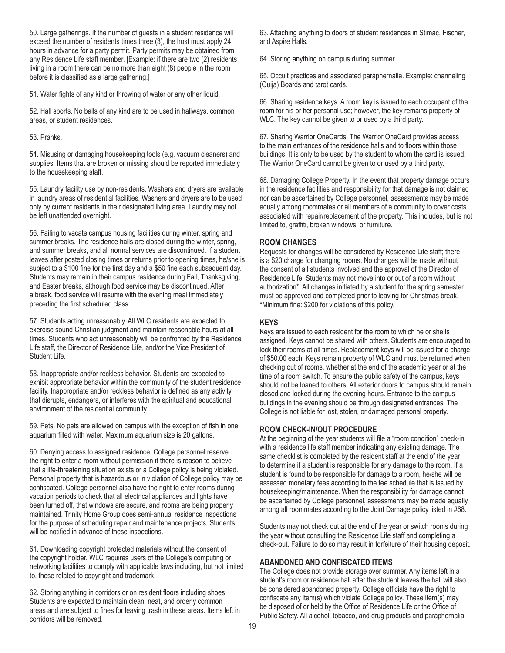50. Large gatherings. If the number of guests in a student residence will exceed the number of residents times three (3), the host must apply 24 hours in advance for a party permit. Party permits may be obtained from any Residence Life staff member. [Example: if there are two (2) residents living in a room there can be no more than eight (8) people in the room before it is classified as a large gathering.]

51. Water fights of any kind or throwing of water or any other liquid.

52. Hall sports. No balls of any kind are to be used in hallways, common areas, or student residences.

53. Pranks.

54. Misusing or damaging housekeeping tools (e.g. vacuum cleaners) and supplies. Items that are broken or missing should be reported immediately to the housekeeping staff.

55. Laundry facility use by non-residents. Washers and dryers are available in laundry areas of residential facilities. Washers and dryers are to be used only by current residents in their designated living area. Laundry may not be left unattended overnight.

56. Failing to vacate campus housing facilities during winter, spring and summer breaks. The residence halls are closed during the winter, spring, and summer breaks, and all normal services are discontinued. If a student leaves after posted closing times or returns prior to opening times, he/she is subject to a \$100 fine for the first day and a \$50 fine each subsequent day. Students may remain in their campus residence during Fall, Thanksgiving, and Easter breaks, although food service may be discontinued. After a break, food service will resume with the evening meal immediately preceding the first scheduled class.

57. Students acting unreasonably. All WLC residents are expected to exercise sound Christian judgment and maintain reasonable hours at all times. Students who act unreasonably will be confronted by the Residence Life staff, the Director of Residence Life, and/or the Vice President of Student Life.

58. Inappropriate and/or reckless behavior. Students are expected to exhibit appropriate behavior within the community of the student residence facility. Inappropriate and/or reckless behavior is defined as any activity that disrupts, endangers, or interferes with the spiritual and educational environment of the residential community.

59. Pets. No pets are allowed on campus with the exception of fish in one aquarium filled with water. Maximum aquarium size is 20 gallons.

60. Denying access to assigned residence. College personnel reserve the right to enter a room without permission if there is reason to believe that a life-threatening situation exists or a College policy is being violated. Personal property that is hazardous or in violation of College policy may be confiscated. College personnel also have the right to enter rooms during vacation periods to check that all electrical appliances and lights have been turned off, that windows are secure, and rooms are being properly maintained. Trinity Home Group does semi-annual residence inspections for the purpose of scheduling repair and maintenance projects. Students will be notified in advance of these inspections.

61. Downloading copyright protected materials without the consent of the copyright holder. WLC requires users of the College's computing or networking facilities to comply with applicable laws including, but not limited to, those related to copyright and trademark.

62. Storing anything in corridors or on resident floors including shoes. Students are expected to maintain clean, neat, and orderly common areas and are subject to fines for leaving trash in these areas. Items left in corridors will be removed.

63. Attaching anything to doors of student residences in Stimac, Fischer, and Aspire Halls.

64. Storing anything on campus during summer.

65. Occult practices and associated paraphernalia. Example: channeling (Ouija) Boards and tarot cards.

66. Sharing residence keys. A room key is issued to each occupant of the room for his or her personal use; however, the key remains property of WLC. The key cannot be given to or used by a third party.

67. Sharing Warrior OneCards. The Warrior OneCard provides access to the main entrances of the residence halls and to floors within those buildings. It is only to be used by the student to whom the card is issued. The Warrior OneCard cannot be given to or used by a third party.

68. Damaging College Property. In the event that property damage occurs in the residence facilities and responsibility for that damage is not claimed nor can be ascertained by College personnel, assessments may be made equally among roommates or all members of a community to cover costs associated with repair/replacement of the property. This includes, but is not limited to, graffiti, broken windows, or furniture.

#### **ROOM CHANGES**

Requests for changes will be considered by Residence Life staff; there is a \$20 charge for changing rooms. No changes will be made without the consent of all students involved and the approval of the Director of Residence Life. Students may not move into or out of a room without authorization\*. All changes initiated by a student for the spring semester must be approved and completed prior to leaving for Christmas break. \*Minimum fine: \$200 for violations of this policy.

#### **KEYS**

Keys are issued to each resident for the room to which he or she is assigned. Keys cannot be shared with others. Students are encouraged to lock their rooms at all times. Replacement keys will be issued for a charge of \$50.00 each. Keys remain property of WLC and must be returned when checking out of rooms, whether at the end of the academic year or at the time of a room switch. To ensure the public safety of the campus, keys should not be loaned to others. All exterior doors to campus should remain closed and locked during the evening hours. Entrance to the campus buildings in the evening should be through designated entrances. The College is not liable for lost, stolen, or damaged personal property.

# **ROOM CHECK-IN/OUT PROCEDURE**

At the beginning of the year students will file a "room condition" check-in with a residence life staff member indicating any existing damage. The same checklist is completed by the resident staff at the end of the year to determine if a student is responsible for any damage to the room. If a student is found to be responsible for damage to a room, he/she will be assessed monetary fees according to the fee schedule that is issued by housekeeping/maintenance. When the responsibility for damage cannot be ascertained by College personnel, assessments may be made equally among all roommates according to the Joint Damage policy listed in #68.

Students may not check out at the end of the year or switch rooms during the year without consulting the Residence Life staff and completing a check-out. Failure to do so may result in forfeiture of their housing deposit.

# **ABANDONED AND CONFISCATED ITEMS**

The College does not provide storage over summer. Any items left in a student's room or residence hall after the student leaves the hall will also be considered abandoned property. College officials have the right to confiscate any item(s) which violate College policy. These item(s) may be disposed of or held by the Office of Residence Life or the Office of Public Safety. All alcohol, tobacco, and drug products and paraphernalia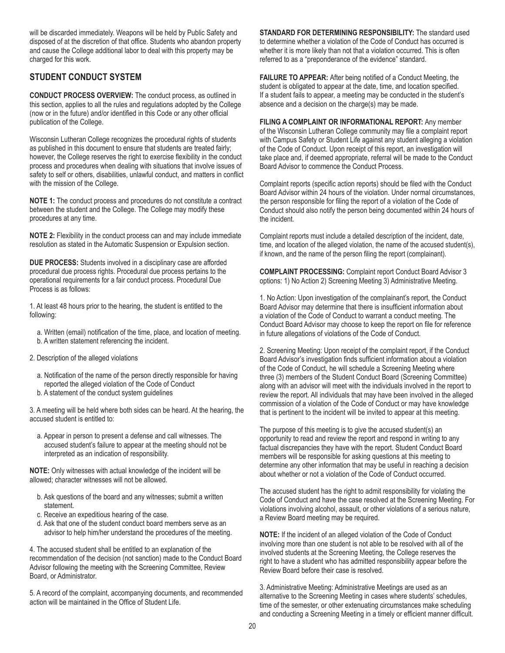will be discarded immediately. Weapons will be held by Public Safety and disposed of at the discretion of that office. Students who abandon property and cause the College additional labor to deal with this property may be charged for this work.

# **STUDENT CONDUCT SYSTEM**

**CONDUCT PROCESS OVERVIEW:** The conduct process, as outlined in this section, applies to all the rules and regulations adopted by the College (now or in the future) and/or identified in this Code or any other official publication of the College.

Wisconsin Lutheran College recognizes the procedural rights of students as published in this document to ensure that students are treated fairly; however, the College reserves the right to exercise flexibility in the conduct process and procedures when dealing with situations that involve issues of safety to self or others, disabilities, unlawful conduct, and matters in conflict with the mission of the College.

**NOTE 1:** The conduct process and procedures do not constitute a contract between the student and the College. The College may modify these procedures at any time.

**NOTE 2:** Flexibility in the conduct process can and may include immediate resolution as stated in the Automatic Suspension or Expulsion section.

**DUE PROCESS:** Students involved in a disciplinary case are afforded procedural due process rights. Procedural due process pertains to the operational requirements for a fair conduct process. Procedural Due Process is as follows:

1. At least 48 hours prior to the hearing, the student is entitled to the following:

- a. Written (email) notification of the time, place, and location of meeting. b. A written statement referencing the incident.
- 2. Description of the alleged violations
	- a. Notification of the name of the person directly responsible for having reported the alleged violation of the Code of Conduct
	- b. A statement of the conduct system guidelines

3. A meeting will be held where both sides can be heard. At the hearing, the accused student is entitled to:

a. Appear in person to present a defense and call witnesses. The accused student's failure to appear at the meeting should not be interpreted as an indication of responsibility.

**NOTE:** Only witnesses with actual knowledge of the incident will be allowed; character witnesses will not be allowed.

- b. Ask questions of the board and any witnesses; submit a written statement.
- c. Receive an expeditious hearing of the case.
- d. Ask that one of the student conduct board members serve as an advisor to help him/her understand the procedures of the meeting.

4. The accused student shall be entitled to an explanation of the recommendation of the decision (not sanction) made to the Conduct Board Advisor following the meeting with the Screening Committee, Review Board, or Administrator.

5. A record of the complaint, accompanying documents, and recommended action will be maintained in the Office of Student Life.

**STANDARD FOR DETERMINING RESPONSIBILITY:** The standard used to determine whether a violation of the Code of Conduct has occurred is whether it is more likely than not that a violation occurred. This is often referred to as a "preponderance of the evidence" standard.

**FAILURE TO APPEAR:** After being notified of a Conduct Meeting, the student is obligated to appear at the date, time, and location specified. If a student fails to appear, a meeting may be conducted in the student's absence and a decision on the charge(s) may be made.

**FILING A COMPLAINT OR INFORMATIONAL REPORT:** Any member of the Wisconsin Lutheran College community may file a complaint report with Campus Safety or Student Life against any student alleging a violation of the Code of Conduct. Upon receipt of this report, an investigation will take place and, if deemed appropriate, referral will be made to the Conduct Board Advisor to commence the Conduct Process.

Complaint reports (specific action reports) should be filed with the Conduct Board Advisor within 24 hours of the violation. Under normal circumstances, the person responsible for filing the report of a violation of the Code of Conduct should also notify the person being documented within 24 hours of the incident.

Complaint reports must include a detailed description of the incident, date, time, and location of the alleged violation, the name of the accused student(s), if known, and the name of the person filing the report (complainant).

**COMPLAINT PROCESSING:** Complaint report Conduct Board Advisor 3 options: 1) No Action 2) Screening Meeting 3) Administrative Meeting.

1. No Action: Upon investigation of the complainant's report, the Conduct Board Advisor may determine that there is insufficient information about a violation of the Code of Conduct to warrant a conduct meeting. The Conduct Board Advisor may choose to keep the report on file for reference in future allegations of violations of the Code of Conduct.

2. Screening Meeting: Upon receipt of the complaint report, if the Conduct Board Advisor's investigation finds sufficient information about a violation of the Code of Conduct, he will schedule a Screening Meeting where three (3) members of the Student Conduct Board (Screening Committee) along with an advisor will meet with the individuals involved in the report to review the report. All individuals that may have been involved in the alleged commission of a violation of the Code of Conduct or may have knowledge that is pertinent to the incident will be invited to appear at this meeting.

The purpose of this meeting is to give the accused student(s) an opportunity to read and review the report and respond in writing to any factual discrepancies they have with the report. Student Conduct Board members will be responsible for asking questions at this meeting to determine any other information that may be useful in reaching a decision about whether or not a violation of the Code of Conduct occurred.

The accused student has the right to admit responsibility for violating the Code of Conduct and have the case resolved at the Screening Meeting. For violations involving alcohol, assault, or other violations of a serious nature, a Review Board meeting may be required.

**NOTE:** If the incident of an alleged violation of the Code of Conduct involving more than one student is not able to be resolved with all of the involved students at the Screening Meeting, the College reserves the right to have a student who has admitted responsibility appear before the Review Board before their case is resolved.

3. Administrative Meeting: Administrative Meetings are used as an alternative to the Screening Meeting in cases where students' schedules, time of the semester, or other extenuating circumstances make scheduling and conducting a Screening Meeting in a timely or efficient manner difficult.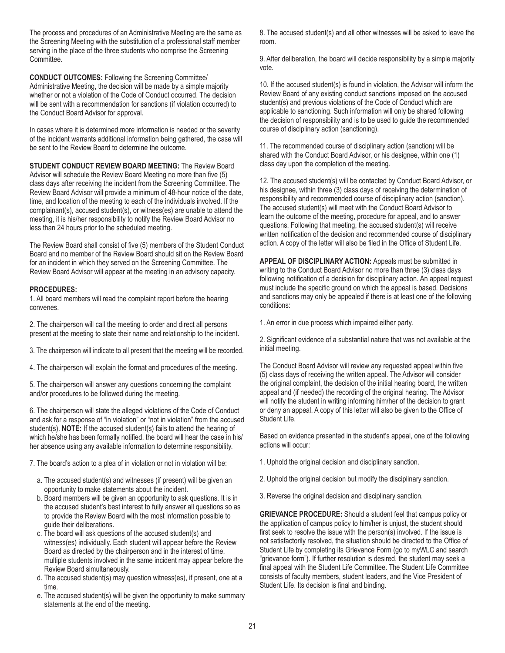The process and procedures of an Administrative Meeting are the same as the Screening Meeting with the substitution of a professional staff member serving in the place of the three students who comprise the Screening Committee.

**CONDUCT OUTCOMES:** Following the Screening Committee/ Administrative Meeting, the decision will be made by a simple majority whether or not a violation of the Code of Conduct occurred. The decision will be sent with a recommendation for sanctions (if violation occurred) to the Conduct Board Advisor for approval.

In cases where it is determined more information is needed or the severity of the incident warrants additional information being gathered, the case will be sent to the Review Board to determine the outcome.

**STUDENT CONDUCT REVIEW BOARD MEETING:** The Review Board Advisor will schedule the Review Board Meeting no more than five (5) class days after receiving the incident from the Screening Committee. The Review Board Advisor will provide a minimum of 48-hour notice of the date, time, and location of the meeting to each of the individuals involved. If the complainant(s), accused student(s), or witness(es) are unable to attend the meeting, it is his/her responsibility to notify the Review Board Advisor no less than 24 hours prior to the scheduled meeting.

The Review Board shall consist of five (5) members of the Student Conduct Board and no member of the Review Board should sit on the Review Board for an incident in which they served on the Screening Committee. The Review Board Advisor will appear at the meeting in an advisory capacity.

#### **PROCEDURES:**

1. All board members will read the complaint report before the hearing convenes.

2. The chairperson will call the meeting to order and direct all persons present at the meeting to state their name and relationship to the incident.

- 3. The chairperson will indicate to all present that the meeting will be recorded.
- 4. The chairperson will explain the format and procedures of the meeting.

5. The chairperson will answer any questions concerning the complaint and/or procedures to be followed during the meeting.

6. The chairperson will state the alleged violations of the Code of Conduct and ask for a response of "in violation" or "not in violation" from the accused student(s). **NOTE:** If the accused student(s) fails to attend the hearing of which he/she has been formally notified, the board will hear the case in his/ her absence using any available information to determine responsibility.

7. The board's action to a plea of in violation or not in violation will be:

- a. The accused student(s) and witnesses (if present) will be given an opportunity to make statements about the incident.
- b. Board members will be given an opportunity to ask questions. It is in the accused student's best interest to fully answer all questions so as to provide the Review Board with the most information possible to guide their deliberations.
- c. The board will ask questions of the accused student(s) and witness(es) individually. Each student will appear before the Review Board as directed by the chairperson and in the interest of time, multiple students involved in the same incident may appear before the Review Board simultaneously.
- d. The accused student(s) may question witness(es), if present, one at a time.
- e. The accused student(s) will be given the opportunity to make summary statements at the end of the meeting.

8. The accused student(s) and all other witnesses will be asked to leave the room.

9. After deliberation, the board will decide responsibility by a simple majority vote.

10. If the accused student(s) is found in violation, the Advisor will inform the Review Board of any existing conduct sanctions imposed on the accused student(s) and previous violations of the Code of Conduct which are applicable to sanctioning. Such information will only be shared following the decision of responsibility and is to be used to guide the recommended course of disciplinary action (sanctioning).

11. The recommended course of disciplinary action (sanction) will be shared with the Conduct Board Advisor, or his designee, within one (1) class day upon the completion of the meeting.

12. The accused student(s) will be contacted by Conduct Board Advisor, or his designee, within three (3) class days of receiving the determination of responsibility and recommended course of disciplinary action (sanction). The accused student(s) will meet with the Conduct Board Advisor to learn the outcome of the meeting, procedure for appeal, and to answer questions. Following that meeting, the accused student(s) will receive written notification of the decision and recommended course of disciplinary action. A copy of the letter will also be filed in the Office of Student Life.

**APPEAL OF DISCIPLINARY ACTION:** Appeals must be submitted in writing to the Conduct Board Advisor no more than three (3) class days following notification of a decision for disciplinary action. An appeal request must include the specific ground on which the appeal is based. Decisions and sanctions may only be appealed if there is at least one of the following conditions:

1. An error in due process which impaired either party.

2. Significant evidence of a substantial nature that was not available at the initial meeting.

The Conduct Board Advisor will review any requested appeal within five (5) class days of receiving the written appeal. The Advisor will consider the original complaint, the decision of the initial hearing board, the written appeal and (if needed) the recording of the original hearing. The Advisor will notify the student in writing informing him/her of the decision to grant or deny an appeal. A copy of this letter will also be given to the Office of Student Life.

Based on evidence presented in the student's appeal, one of the following actions will occur:

- 1. Uphold the original decision and disciplinary sanction.
- 2. Uphold the original decision but modify the disciplinary sanction.
- 3. Reverse the original decision and disciplinary sanction.

**GRIEVANCE PROCEDURE:** Should a student feel that campus policy or the application of campus policy to him/her is unjust, the student should first seek to resolve the issue with the person(s) involved. If the issue is not satisfactorily resolved, the situation should be directed to the Office of Student Life by completing its Grievance Form (go to myWLC and search "grievance form"). If further resolution is desired, the student may seek a final appeal with the Student Life Committee. The Student Life Committee consists of faculty members, student leaders, and the Vice President of Student Life. Its decision is final and binding.